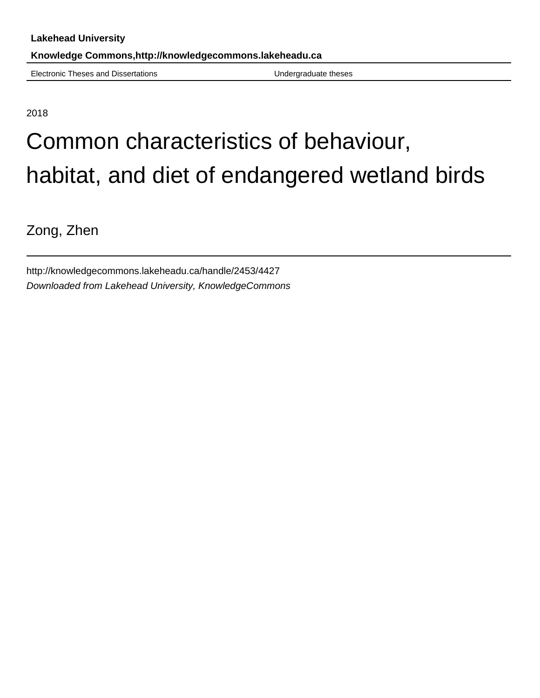Electronic Theses and Dissertations **Electronic Theses** Undergraduate theses

2018

# Common characteristics of behaviour, habitat, and diet of endangered wetland birds

Zong, Zhen

http://knowledgecommons.lakeheadu.ca/handle/2453/4427 Downloaded from Lakehead University, KnowledgeCommons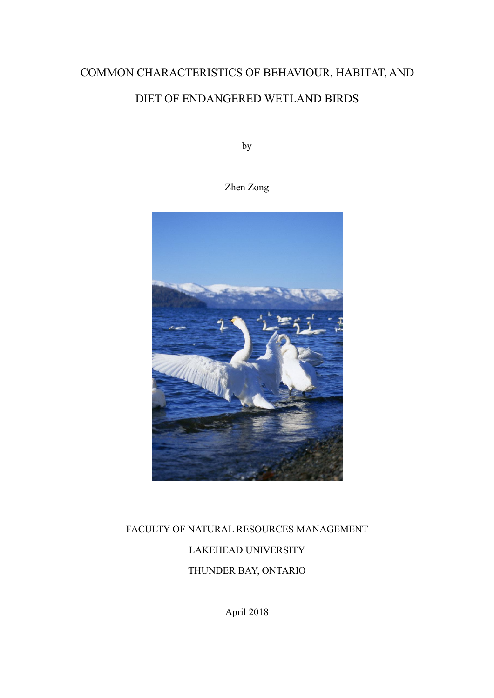# COMMON CHARACTERISTICS OF BEHAVIOUR, HABITAT, AND<br>DIET OF ENDANGERED WETLAND BIRDS CHARACTERISTICS OF BEHAVIOUR, HABITAT, AND<br>DIET OF ENDANGERED WETLAND BIRDS<br>by ICS OF BEHAVIOUR, HABITAT, AN<br>GERED WETLAND BIRDS<br>by<br>Zhen Zong

by



# AL RESOURCES MANAGEMENT<br>EAD UNIVERSITY<br>ER BAY, ONTARIO<br>April 2018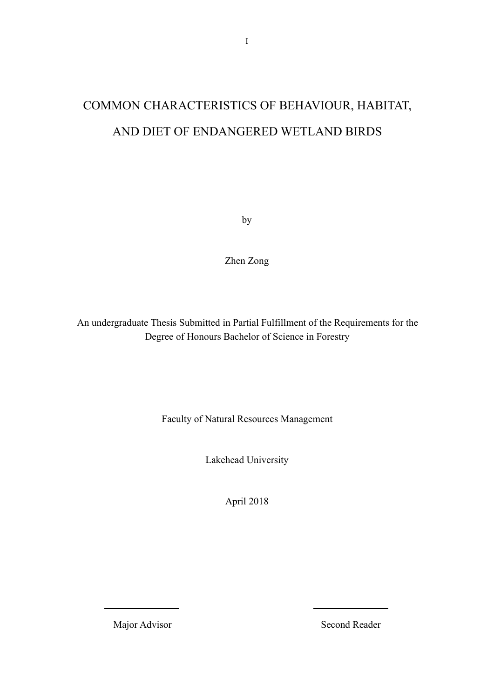# I<br>COMMON CHARACTERISTICS OF BEHAVIOUR, HABITAT,<br>AND DIET OF ENDANGERED WETLAND BIRDS I<br>MON CHARACTERISTICS OF BEHAVIOUR, HABITAT,<br>AND DIET OF ENDANGERED WETLAND BIRDS NGERED WETLAND BIRDS<br>by<br>Zhen Zong

by

by<br>
An undergraduate Thesis Submitted in Partial Fulfillment of the Requirements for the<br>
Degree of Honours Bachelor of Science in Forestry by<br>
Zhen Zong<br>
Ehen Zong<br>
Ehen Zong<br>
Ehen Zong<br>
Degree of Honours Bachelor of Science in Forestry<br>
Degree of Honours Bachelor of Science in Forestry esis Submitted in Partial Fulfillment of the Requirements for the<br>ree of Honours Bachelor of Science in Forestry<br>Faculty of Natural Resources Management<br>Lakehead University tted in Partial Fulfillment of the Requirements fo<br>bours Bachelor of Science in Forestry<br>Natural Resources Management<br>Lakehead University<br>April 2018

ral Resources Management<br>head University<br>April 2018

April 2018<br>Major Advisor<br>Second Reader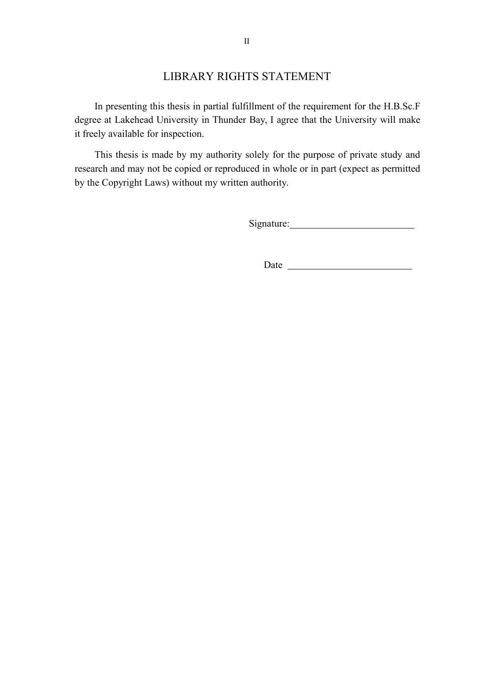II<br>
LIBRARY RIGHTS STATEMENT<br>
sthesis in partial fulfillment of the requirement for the H.B.Sc.F<br>
niversity in Thunder Bay, I agree that the University will make II<br>
In presenting this thesis in partial fulfillment of the requirement for the H.B.Sc.F<br>
ee at Lakehead University in Thunder Bay, I agree that the University will make<br>
ely available for inspection.<br>
This thesis is made II<br>LIBRARY RIGHTS STATEMENT<br>In presenting this thesis in partial fulfillment of the requirement for the H.B.Sc.F<br>degree at Lakehead University in Thunder Bay, I agree that the University will make<br>it freely available for i II<br>
LIBRARY RIGHTS STATEME<br>
In presenting this thesis in partial fulfillment of the req<br>
degree at Lakehead University in Thunder Bay, I agree that<br>
it freely available for inspection.<br>
This thesis is made by my authority

<span id="page-3-0"></span>II<br>IMPERTEMENT<br>In presenting this thesis in partial fulfillment of the requirement for the H.B.Sc.F<br>ee at Lakehead University in Thunder Bay, I agree that the University will make<br>ely available for inspection.<br>This thesis IIBRARY RIGHTS STATEMENT<br>In presenting this thesis in partial fulfillment of the requirement for the H.B.Sc.F<br>degree at Lakehead University in Thunder Bay, I agree that the University will make<br>it freely available for insp II<br>
LIBRARY RIGHTS STATEMENT<br>
In presenting this thesis in partial fulfillment of the requirement for the H.B.S<br>
degree at Lakehead University in Thunder Bay, I agree that the University will m<br>
it freely available for ins

Signature:

Date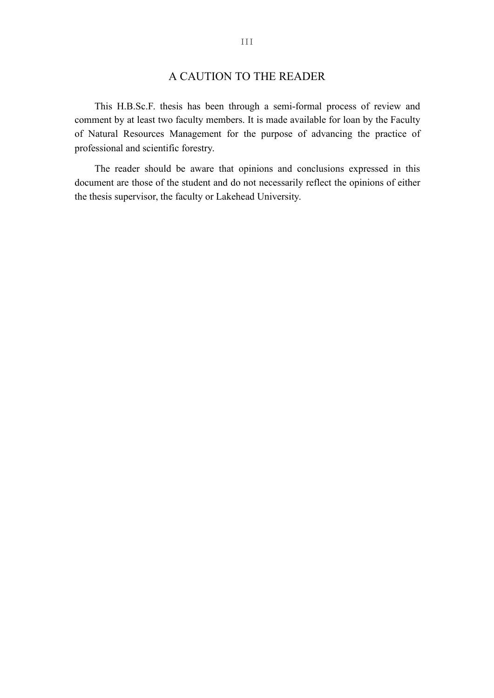III<br>A CAUTION TO THE READER<br>esis has been through a semi-formal process of review and<br>o faculty members. It is made available for loan by the Faculty<br>Managament for the nurness of advancing the prestige of THE READER<br>This H.B.Sc.F. thesis has been through a semi-formal process of review and<br>nent by at least two faculty members. It is made available for loan by the Faculty<br>fatural Resources Management for the purpose of advan THE READER<br>
This H.B.Sc.F. thesis has been through a semi-formal process of review and<br>
comment by at least two faculty members. It is made available for loan by the Faculty<br>
of Natural Resources Management for the purpose III<br> **CAUTION TO THE READER**<br>
This H.B.Sc.F. thesis has been through a semi-formal process of review and<br>
comment by at least two faculty members. It is made available for loan by the Faculty<br>
of Natural Resources Manageme III<br>
A CAUTION TO THE READER<br>
This H.B.Sc.F. thesis has been through a semi-formal pro<br>
comment by at least two faculty members. It is made available for<br>
of Natural Resources Management for the purpose of advan-<br>
professi THE READER<br>This H.B.Sc.F. thesis has been through a semi-formal process of review and<br>nent by at least two faculty members. It is made available for loan by the Faculty<br>tatural Resources Management for the purpose of advan III<br>
A CAUTION TO THE READER<br>
This H.B.Sc.F. thesis has been through a semi-formal process of review and<br>
comment by at least two faculty members. It is made available for loan by the Faculty<br>
of Natural Resources Manageme A CAUTION TO THE READER<br>This H.B.Sc.F. thesis has been through a semi-formal process of review an<br>comment by at least two faculty members. It is made available for loan by the Facul<br>of Natural Resources Management for the

<span id="page-4-0"></span>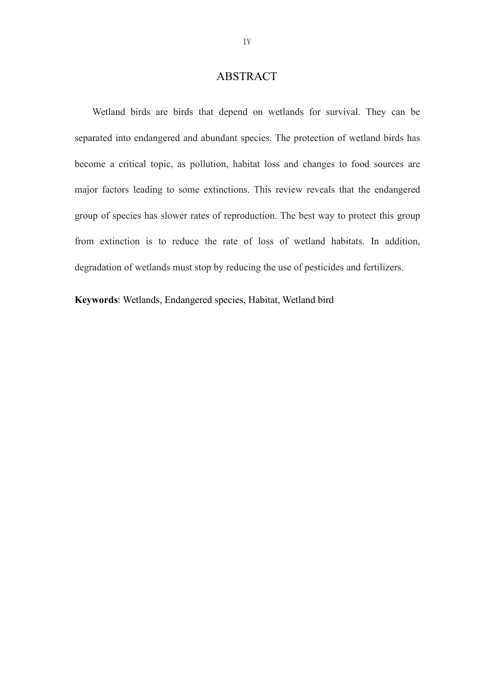# <span id="page-5-0"></span>ABSTRACT

IV<br>
MEXIRACT<br>
Wetland birds are birds that depend on wetlands for survival. They can be<br>
rated into endangered and abundant species. The protection of wetland birds has separated into endangered and abundant species. The protection of wetland birds has become a critical topic, as pollution, habitat loss and changes to food sources are become a critical topic, as pollution, habitat loss and changes to food sources are major factors leading to some extinctions. This review reveals that the endangered are the pollution, habitat loss and changes to food sou Major Factors leading to some extinctions. They can be separated into endangered and abundant species. The protection of wetland birds has become a critical topic, as pollution, habitat loss and changes to food sources are ABSTRACT<br>Wetland birds are birds that depend on wetlands for survival. They can be<br>separated into endangered and abundant species. The protection of wetland birds has<br>become a critical topic, as pollution, habitat loss and Wetland birds are birds that depend on wetlands for survival. They can be separated into endangered and abundant species. The protection of wetland birds has become a critical topic, as pollution, habitat loss and changes separated into endangered and abundant species. The protection of wetland birds has<br>become a critical topic, as pollution, habitat loss and changes to food sources are<br>major factors leading to some extinctions. This review become a critical topic, as pollution, habitat loss and changes to food sources are<br>major factors leading to some extinctions. This review reveals that the endangered<br>group of species has slower rates of reproduction. The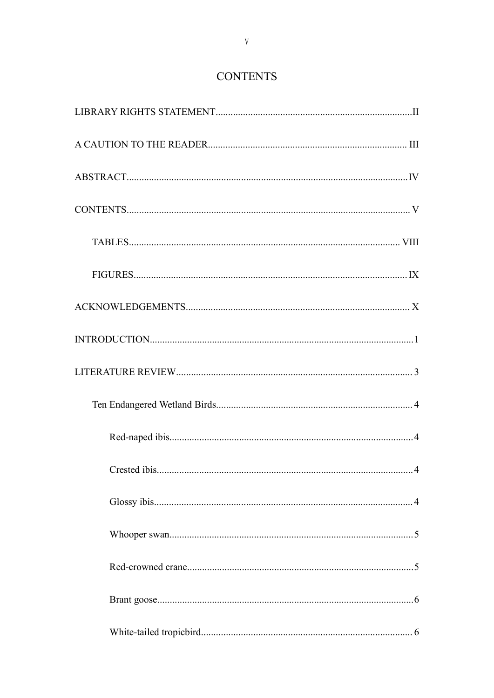# <span id="page-6-0"></span>**CONTENTS**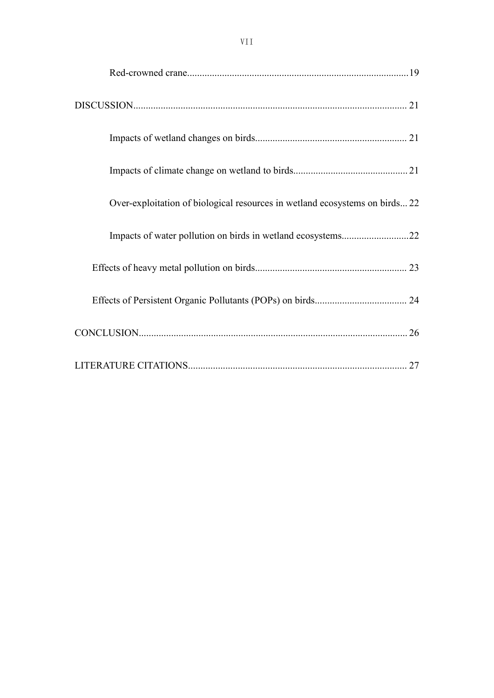<span id="page-8-0"></span>

| VII                                                                         |  |
|-----------------------------------------------------------------------------|--|
|                                                                             |  |
|                                                                             |  |
|                                                                             |  |
|                                                                             |  |
| Over-exploitation of biological resources in wetland ecosystems on birds 22 |  |
|                                                                             |  |
|                                                                             |  |
|                                                                             |  |
|                                                                             |  |
|                                                                             |  |
|                                                                             |  |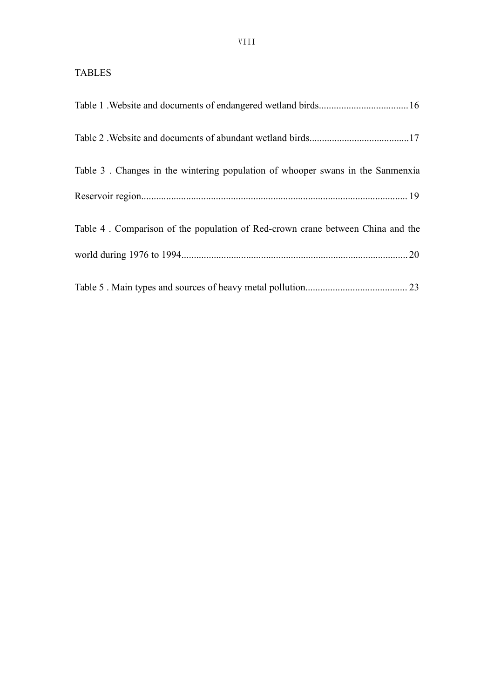# TABLES

| VIII                                                                           |  |
|--------------------------------------------------------------------------------|--|
| <b>TABLES</b>                                                                  |  |
|                                                                                |  |
|                                                                                |  |
| Table 3. Changes in the wintering population of whooper swans in the Sanmenxia |  |
|                                                                                |  |
| Table 4. Comparison of the population of Red-crown crane between China and the |  |
|                                                                                |  |
|                                                                                |  |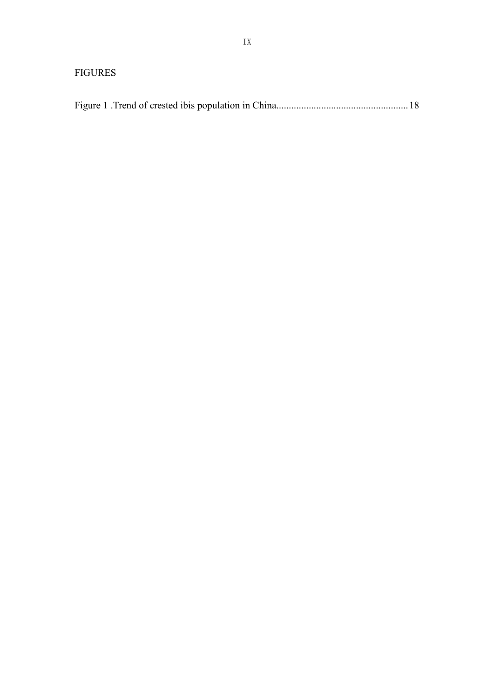# <span id="page-10-0"></span>FIGURES

| IX             |     |
|----------------|-----|
| <b>FIGURES</b> |     |
|                | .18 |
|                |     |
|                |     |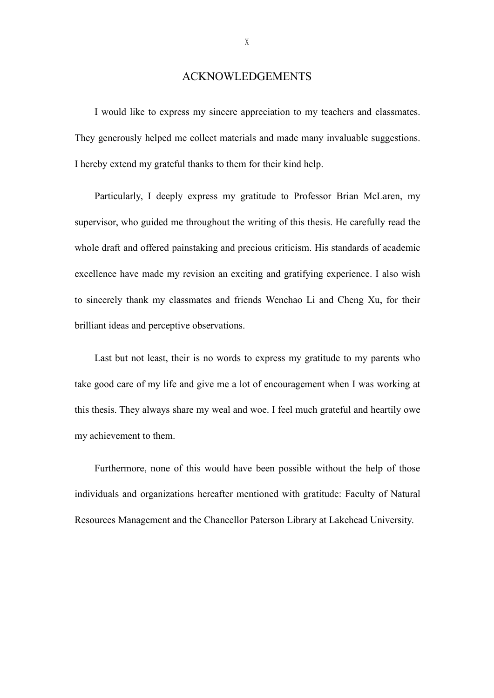# <span id="page-11-0"></span>ACKNOWLEDGEMENTS

X<br>
I would like to express my sincere appreciation to my teachers and classmates.<br>
generously helped me collect materials and made many invaluable suggestions. They generously helped me collect materials and made many invaluable suggestions.<br>They generously helped me collect materials and made many invaluable suggestions.<br>Thereby extend my grateful thanks to them for their kind h X<br>
I would like to express my sincere appreciation to my teachers and classmates.<br>
They generously helped me collect materials and made many invaluable suggestions.<br>
I hereby extend my grateful thanks to them for their kin ACKNOWLEDGEMENTS<br>
I would like to express my sincere appreciation to my teachers and classmates.<br>
egenerously helped me collect materials and made many invaluable suggestions.<br>
Eby extend my grateful thanks to them for the

Supervisor, and dike to express my sincere appreciation to my teachers and classmates.<br>They generously helped me collect materials and made many invaluable suggestions.<br>I hereby extend my grateful thanks to them for their I would like to express my sincere appreciation to my teachers and classmates.<br>They generously helped me collect materials and made many invaluable suggestions.<br>I hereby extend my grateful thanks to them for their kind hel They generously helped me collect materials and made many invaluable suggestions.<br>
I hereby extend my grateful thanks to them for their kind help.<br>
Particularly, 1 deeply express my gratitude to Professor Brian McLaren, my I hereby extend my grateful thanks to them for their kind help.<br>
Particularly, I deeply express my gratitude to Professor Brian McLaren, my<br>
supervisor, who guided me throughout the writing of this thesis. He carefully rea Particularly, I deeply express my gratitude to Professor Br<br>supervisor, who guided me throughout the writing of this thesis. He<br>whole draft and offered painstaking and precious criticism. His stan<br>excellence have made my r rvisor, who guided me throughout the writing of this thesis. He carefully read the e draft and offered painstaking and precious criticism. His standards of academic llence have made my revision an exciting and gratifying e whole draft and offered painstaking and precious criticism. His standards of academic<br>excellence have made my revision an exciting and gratifying experience. I also wish<br>to sincerely thank my classmates and friends Wenchao

excellence have made my revision an exciting and gratifying experience. I also wish<br>to sincerely thank my classmates and friends Wenchao Li and Cheng Xu, for their<br>brilliant ideas and perceptive observations.<br>Last but not to sincerely thank my classmates and friends Wenchao<br>brilliant ideas and perceptive observations.<br>Last but not least, their is no words to express my g<br>take good care of my life and give me a lot of encourager<br>this thesis. ant ideas and perceptive observations.<br>
Last but not least, their is no words to express my gratitude to my parents who<br>
good care of my life and give me a lot of encouragement when I was working at<br>
hesis. They always sha Last but not least, their is no words to express my gratitude to my parents who<br>take good care of my life and give me a lot of encouragement when I was working at<br>this thesis. They always share my weal and woe. I feel much take good care of my life and give me a lot of encouragement when I was working at this thesis. They always share my weal and woe. I feel much grateful and heartily owe my achievement to them.<br>
Furthermore, none of this wo

X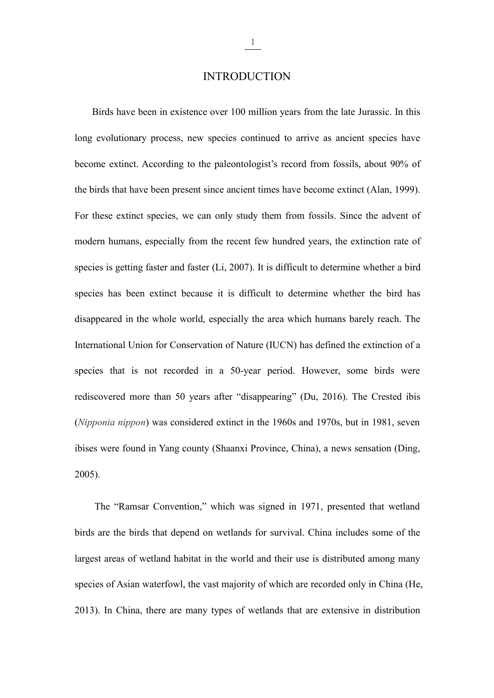# <span id="page-12-0"></span>**INTRODUCTION**

 $\frac{1}{\text{Birds}}$ <br>Birds have been in existence over 100 million years from the late Jurassic. In this<br>evolutionary process, new species continued to arrive as ancient species have **languary 1.1**<br> **long evolutionary process, new species continued to arrive as ancient species have become extinct. According to the paleontologist's record from fossils, about 90% of become extinct.** According to the paleontologist's record from the late Jurassic. In this long evolutionary process, new species continued to arrive as ancient species have become extinct. According to the paleontologist **EXECUTE 1989** INTRODUCTION<br>Birds have been in existence over 100 million years from the late Jurassic. In this<br>long evolutionary process, new species continued to arrive as ancient species have<br>become extinct. According INTRODUCTION<br>Birds have been in existence over 100 million years from the late Jurassic. In this<br>long evolutionary process, new species continued to arrive as ancient species have<br>become extinct. According to the paleontol Birds have been in existence over 100 million years from the late Jurassic. In this<br>long evolutionary process, new species continued to arrive as ancient species have<br>become extinct. According to the paleontologist's recor long evolutionary process, new species continued to arrive as ancient species have<br>become extinct. According to the paleontologist's record from fossils, about 90% of<br>the birds that have been present since ancient times ha become extinct. According to the paleontologist's record from fossils, about 90% of<br>the birds that have been present since ancient times have become extinct (Alan, 1999).<br>For these extinct species, we can only study them f the birds that have been present since ancient times have become extinct (Alan, 1999).<br>For these extinct species, we can only study them from fossils. Since the advent of<br>modern humans, especially from the recent few hundr For these extinct species, we can only study them from fossils. Since the advent of modern humans, especially from the recent few hundred years, the extinction rate of species is getting faster and faster (Li, 2007). It is modern humans, especially from the recent few hundred years, the extinction rate of species is getting faster and faster (Li, 2007). It is difficult to determine whether a bird species has been extinct because it is diffic species is getting faster and faster (Li, 2007). It is difficult to determine whether a bird<br>species has been extinct because it is difficult to determine whether the bird has<br>disappeared in the whole world, especially the species has been extinct because it is difficult to determine whether the bird has disappeared in the whole world, especially the area which humans barely reach. The International Union for Conservation of Nature (IUCN) ha disappeared in the whole world, especially the area which humans barely reach. The<br>International Union for Conservation of Nature (IUCN) has defined the extinction of a<br>species that is not recorded in a 50-year period. How 2005). res that is not recorded in a 50-year period. However, some birds were<br>covered more than 50 years after "disappearing" (Du, 2016). The Crested ibis<br>*ponia nippon*) was considered extinct in the 1960s and 1970s, but in 1981 rediscovered more than 50 years after "disappearing" (Du, 2016). The Crested ibis<br>
(*Nipponia nippon*) was considered extinct in the 1960s and 1970s, but in 1981, seven<br>
ibises were found in Yang county (Shaanxi Province,

(*Nipponia nippon*) was considered extinct in the 1960s and 1970s, but in 1981, seven<br>ibises were found in Yang county (Shaanxi Province, China), a news sensation (Ding,<br>2005).<br>The "Ramsar Convention," which was signed in ibises were found in Yang county (Shaanxi Province, China), a news sensation (Ding, 2005).<br>
The "Ramsar Convention," which was signed in 1971, presented that wetland<br>
birds are the birds that depend on wetlands for surviva 2005).<br>
The "Ramsar Convention," which was signed in 1971, presented that wetland<br>
birds are the birds that depend on wetlands for survival. China includes some of the<br>
largest areas of wetland habitat in the world and the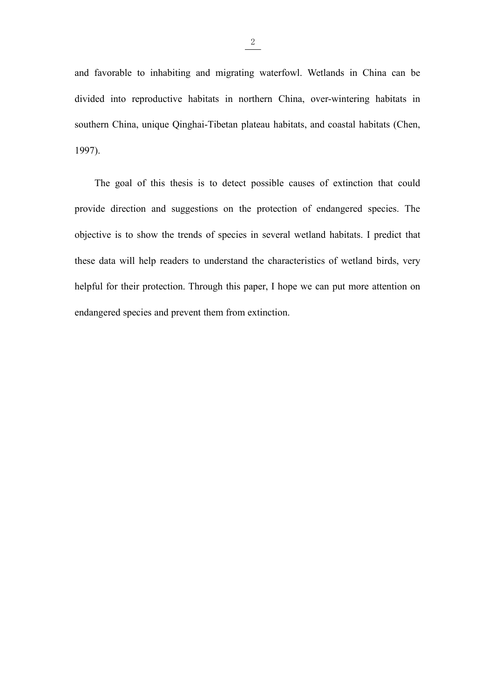$\frac{2}{\sqrt{1-\frac{1}{2}}}\$ and favorable to inhabiting and migrating waterfowl. Wetlands in China can be divided into reproductive habitats in northern China, over-wintering habitats in  $\frac{2}{\frac{2}{\frac{1}{2}}}\$ <br>and favorable to inhabiting and migrating waterfowl. Wetlands in China can be<br>divided into reproductive habitats in northern China, over-wintering habitats in<br>southern China, unique Qinghai-Tibetan pl  $\frac{2}{\sqrt{1-\frac{1}{2}}}$ <br>and favorable to inhabiting and migrating waterfowl. Wetlands in China can be<br>divided into reproductive habitats in northern China, over-wintering habitats in<br>southern China, unique Qinghai-Tibetan plat 1997).  $\frac{2}{2}$ <br>
Ed into reproductive habitats in northern China, over-wintering habitats in<br>
the goal of this thesis is to detect possible causes of extinction that could<br>
differentian and suggestions on the protection of enda and favorable to inhabiting and migrating waterfowl. Wetlands in China can be divided into reproductive habitats in northern China, over-wintering habitats in southern China, unique Qinghai-Tibetan plateau habitats, and co

divided into reproductive habitats in northern China, over-wintering habitats in<br>southern China, unique Qinghai-Tibetan plateau habitats, and coastal habitats (Chen,<br>1997).<br>The goal of this thesis is to detect possible cau southern China, unique Qinghai-Tibetan plateau habitats, and coastal habitats (Chen, 1997).<br>
The goal of this thesis is to detect possible causes of extinction that could<br>
provide direction and suggestions on the protectio 1997).<br>The goal of this thesis is to detect possible causes of extinction that could<br>provide direction and suggestions on the protection of endangered species. The<br>objective is to show the trends of species in several wetl The goal of this thesis is to detect possible causes of extinction that corrovide direction and suggestions on the protection of endangered species.<br>
objective is to show the trends of species in several wetland habitats.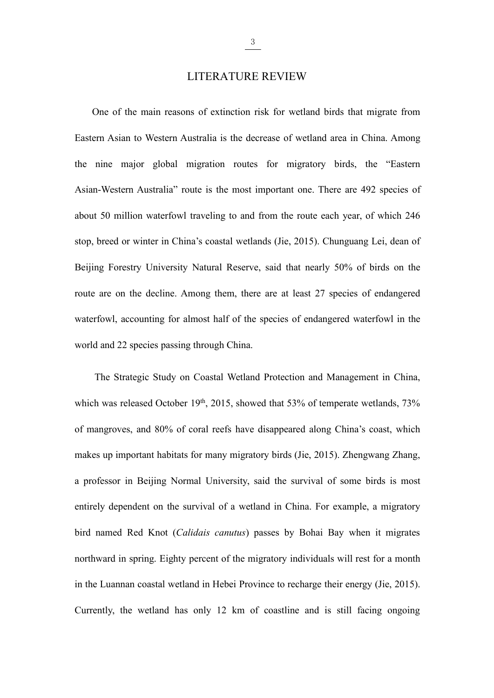<span id="page-14-0"></span> $\frac{3}{2}$ <br>LITERATURE REVIEW<br>ns of extinction risk for wetland birds that migrate from LITERATURE REVIEW<br>
One of the main reasons of extinction risk for wetland birds that migrate from<br>
ern Asian to Western Australia is the decrease of wetland area in China. Among EITERATURE REVIEW<br>
One of the main reasons of extinction risk for wetland birds that migrate from<br>
Eastern Asian to Western Australia is the decrease of wetland area in China. Among<br>
the nine major global migration routes **EXECUTE ATTURE REVIEW**<br>
One of the main reasons of extinction risk for wetland birds that migrate from<br>
Eastern Asian to Western Australia is the decrease of wetland area in China. Among<br>
the nine major global migration Asian-Western Australia is the decrease of wetland birds that migrate from<br>Eastern Asian to Western Australia is the decrease of wetland area in China. Among<br>the nine major global migration routes for migratory birds, the LITERATURE REVIEW<br>
One of the main reasons of extinction risk for wetland birds that migrate from<br>
Eastern Asian to Western Australia is the decrease of wetland area in China. Among<br>
the nine major global migration routes One of the main reasons of extinction risk for wetland birds that migrate from<br>Eastern Asian to Western Australia is the decrease of wetland area in China. Among<br>the nine major global migration routes for migratory birds, Eastern Asian to Western Australia is the decrease of wetland area in China. Among<br>the nine major global migration routes for migratory birds, the "Eastern<br>Asian-Western Australia" route is the most important one. There ar the nine major global migration routes for migratory birds, the "Eastern<br>Asian-Western Australia" route is the most important one. There are 492 species of<br>about 50 million waterfowl traveling to and from the route each ye Asian-Western Australia" route is the most important one. There are 492 species of about 50 million waterfowl traveling to and from the route each year, of which 246 stop, breed or winter in China's coastal wetlands (Jie, about 50 million waterfowl traveling to and from the route each year, of v<br>stop, breed or winter in China's coastal wetlands (Jie, 2015). Chunguang Le<br>Beijing Forestry University Natural Reserve, said that nearly 50% of bi breed or winter in China's coastal wetlands (Jie, 2015). Chunguang Lei, dean of<br>ng Forestry University Natural Reserve, said that nearly 50% of birds on the<br>are on the decline. Among them, there are at least 27 species of Beijing Forestry University Natural Reserve, said that nearly 50% of birds on the route are on the decline. Among them, there are at least 27 species of endangered waterfowl, accounting for almost half of the species of en

route are on the decline. Among them, there are at least 27 species of endangered waterfowl, accounting for almost half of the species of endangered waterfowl in the world and 22 species passing through China.<br>The Strategi waterfowl, accounting for almost half of the species of endangered waterfowl in the world and 22 species passing through China.<br>
The Strategic Study on Coastal Wetland Protection and Management in China, which was released world and 22 species passing through China.<br>
The Strategic Study on Coastal Wetland Protection and Management in China,<br>
which was released October 19<sup>th</sup>, 2015, showed that 53% of temperate wetlands, 73%<br>
of mangroves, an The Strategic Study on Coastal Wetland Protection and Management in China,<br>which was released October 19<sup>th</sup>, 2015, showed that 53% of temperate wetlands, 73%<br>of mangroves, and 80% of coral reefs have disappeared along Chi which was released October 19<sup>th</sup>, 2015, showed that 53% of temperate wetlands, 73% of mangroves, and 80% of coral reefs have disappeared along China's coast, which makes up important habitats for many migratory birds (Jie northward in spring. Eighty percent of the migratory birds (Jie, 2015). Zhengwang Zhang,<br>a professor in Beijing Normal University, said the survival of some birds is most<br>entirely dependent on the survival of a wetland in makes up important habitats for many migratory birds (Jie, 2015). Zhengwang Zhang,<br>a professor in Beijing Normal University, said the survival of some birds is most<br>entirely dependent on the survival of a wetland in China. a professor in Beijing Normal University, said the survival of some birds is most<br>entirely dependent on the survival of a wetland in China. For example, a migratory<br>bird named Red Knot (*Calidais canutus*) passes by Bohai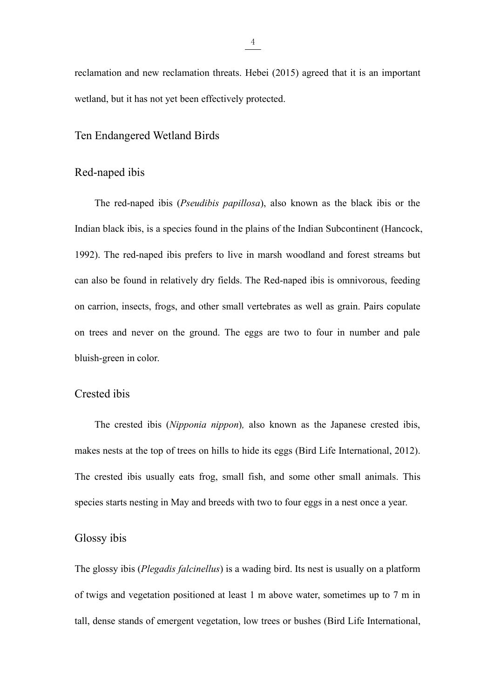$rac{4}{2}$ <br>reclamation and new reclamation threats. Hebei (2015) agreed that it is an important<br>wetland, but it has not yet been effectively protected. Freelamation and new reclamation threats. Hebei (2015) agreed that it is an imported wetland, but it has not yet been effectively protected.<br>Ten Endangered Wetland Birds  $\frac{4}{100}$ <br>reclamation and new reclamation threats. Hebei (2015) agreed that it is an<br>wetland, but it has not yet been effectively protected.<br>Ten Endangered Wetland Birds<br>Red-naped ibis  $\frac{4}{1}$ <br>reclamation and new reclamation threats. Hebei (2015) as<br>wetland, but it has not yet been effectively protected.<br>Ten Endangered Wetland Birds<br>Red-naped ibis<br>The red-naped ibis (*Pseudibis papillosa*), also know

<span id="page-15-1"></span><span id="page-15-0"></span>mation and new reclamation threats. Hebei (2015) agreed that it is an important<br>
and, but it has not yet been effectively protected.<br>
Findangered Wetland Birds<br>
The red-naped ibis (*Pseudibis papillosa*), also known as the In Endangered Wetland Birds<br>
In Endangered Wetland Birds<br>
Red-naped ibis<br>
The red-naped ibis (*Pseudibis papillosa*), also known as the black ibis or the<br>
Indian black ibis, is a species found in the plains of the Indian S 1992). The red-naped ibis prefers to live in marsh woodland and forest streams but<br>prefer to live in marsh woodland and forest streams but<br>prefers to live in marsh woodland and forest streams but<br>can also be found in relat Ten Endangered Wetland Birds<br>
Red-naped ibis<br>
The red-naped ibis (*Pseudibis papillosa*), also known as the black ibis or the<br>
Indian black ibis, is a species found in the plains of the Indian Subcontinent (Hancock,<br>
1992) Red-naped ibis<br>The red-naped ibis (*Pseudibis papillosa*), also known as the black ibis or the<br>Indian black ibis, is a species found in the plains of the Indian Subcontinent (Hancock,<br>1992). The red-naped ibis prefers to l The red-naped ibis (*Pseudibis papillosa*), also known as the black ibis or the Indian black ibis, is a species found in the plains of the Indian Subcontinent (Hancock, 1992). The red-naped ibis prefers to live in marsh wo Indian black ibis, is a species found in the plains of the 1992). The red-naped ibis prefers to live in marsh w<br>can also be found in relatively dry fields. The Red-na<br>on carrion, insects, frogs, and other small vertebrates Indian black ibis, is a species found in the plains of the<br>1992). The red-naped ibis prefers to live in marsh w<br>can also be found in relatively dry fields. The Red-nap<br>on carrion, insects, frogs, and other small vertebrate Iso be found in relatively dry fields. The Red-naped ibis is omnivorous, feeding<br>arrion, insects, frogs, and other small vertebrates as well as grain. Pairs copulate<br>rees and never on the ground. The eggs are two to four i

<span id="page-15-2"></span>on carrion, insects, frogs, and other small vertebrates as well as grain. Pairs copulate<br>on trees and never on the ground. The eggs are two to four in number and pale<br>bluish-green in color.<br>Crested ibis<br>The crested ibis ( on trees and never on the ground. The eggs are two to four in number and pale<br>bluish-green in color.<br>Crested ibis<br>The crested ibis (*Nipponia nippon*), also known as the Japanese crested ibis,<br>makes nests at the top of tre Species starts in color.<br>
The crested ibis (*Nipponia nippon*), also known as the Japanese crested ibis,<br>
makes nests at the top of trees on hills to hide its eggs (Bird Life International, 2012).<br>
The crested ibis usually Crested ibis<br>The crested ibis (*Nipponia nippon*), also know<br>makes nests at the top of trees on hills to hide its eggs<br>The crested ibis usually eats frog, small fish, and s<br>species starts nesting in May and breeds with two The crested ibis (*Nipponia nippon*), also known as the Japanese crested ibis,<br>makes nests at the top of trees on hills to hide its eggs (Bird Life International, 2012).<br>The crested ibis usually eats frog, small fish, and makes nests at the top of trees on hills to hide its eggs (Bird Life International, 2012).<br>The crested ibis usually eats frog, small fish, and some other small animals. This<br>species starts nesting in May and breeds with tw

<span id="page-15-3"></span>The crested ibis usually eats frog, small fish, and some other small animals. This<br>species starts nesting in May and breeds with two to four eggs in a nest once a year.<br>Glossy ibis<br>The glossy ibis (*Plegadis falcinellus*)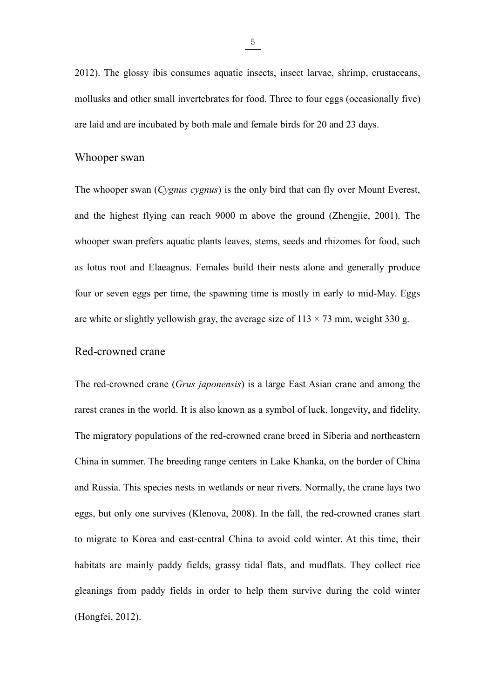$\frac{5}{2012}$ . The glossy ibis consumes aquatic insects, insect larvae, shrimp, crustaceans, mollusks and other small invertebrates for food. Three to four eggs (occasionally five) 2012). The glossy ibis consumes aquatic insects, insect larvae, shrimp, crustaceans, mollusks and other small invertebrates for food. Three to four eggs (occasionally five) are laid and are incubated by both male and fema  $\frac{5}{2012}$ . The glossy ibis consumes aquatic insects, insect larvae, shrimp, crustaceans, mollusks and other small invertebrates for food. Three to four eggs (occasionally five) are laid and are incubated by both male a  $\frac{5}{2012}$ . The glossy ibis consumes aquatic insects, insection and the small invertebrates for food. Three to are laid and are incubated by both male and female birds<br>Whooper swan<br>The whooper swan (*Cygnus cygnus*) is <sup>b</sup><br>
2012). The glossy ibis consumes aquatic insects, insect larvae, shrimp, crustaceans,<br>
mollusks and other small invertebrates for food. Three to four eggs (occasionally five)<br>
are laid and are incubated by both male an

<span id="page-16-0"></span>2012). The glossy ibis consumes aquatic insects, insect larvae, shrimp, crustaceans,<br>mollusks and other small invertebrates for food. Three to four eggs (occasionally five)<br>are laid and are incubated by both male and femal mollusks and other small invertebrates for food. Three to four eggs (occasionally five)<br>are laid and are incubated by both male and female birds for 20 and 23 days.<br>Whooper swan<br>The whooper swan (*Cygnus cygnus*) is the on are laid and are incubated by both male and female birds for 20 and 23 days.<br>
Whooper swan<br>
The whooper swan (Cygnus cygnus) is the only bird that can fly over Mount Everest,<br>
and the highest flying can reach 9000 m above Whooper swan<br>The whooper swan (*Cygnus cygnus*) is the only bird that can fly over Mount Everest,<br>and the highest flying can reach 9000 m above the ground (Zhengjie, 2001). The<br>whooper swan prefers aquatic plants leaves, The whooper swan (*Cygnus cygnus*) is the only bird that can fly over Mount Everest, and the highest flying can reach 9000 m above the ground (Zhengjie, 2001). The whooper swan prefers aquatic plants leaves, stems, seeds The whooper swan (*Cygnus cygnus*) is the only bird that can<br>and the highest flying can reach 9000 m above the ground<br>whooper swan prefers aquatic plants leaves, stems, seeds and<br>as lotus root and Elaeagnus. Females build whooper swan prefers aquatic plants leaves, stems, seeds and rhizomes for food, such<br>as lotus root and Elaeagnus. Females build their nests alone and generally produce<br>four or seven eggs per time, the spawning time is most

<span id="page-16-1"></span>as lotus root and Elacagnus. Females build their nests alone and generally produce<br>four or seven eggs per time, the spawning time is mostly in early to mid-May. Eggs<br>are white or slightly yellowish gray, the average size o four or seven eggs per time, the spawning time is mostly in early to mid-May. Eggs<br>are white or slightly yellowish gray, the average size of 113 × 73 mm, weight 330 g.<br>Red-crowned crane<br>The red-crowned crane (*Grus japone* are white or slightly yellowish gray, the average size of 113 × 73 mm, weight 330 g.<br>
Red-crowned crane<br>
The red-crowned crane (*Grus japonensis*) is a large East Asian crane and among the<br>
rarest cranes in the world. It i Red-crowned crane (*Grus japonensis*) is a large East Asian crane and among the rarest cranes in the world. It is also known as a symbol of luck, longevity, and fidelity. The migratory populations of the red-crowned crane The red-crowned crane (*Grus japonensis*) is a large East Asian crane and among the rarest cranes in the world. It is also known as a symbol of luck, longevity, and fidelity. The migratory populations of the red-crowned cr trancest cranes in the world. It is also known as a symbol of luck, longevity, and fidelity.<br>The migratory populations of the red-crowned crane breed in Siberia and northeastern<br>China in summer. The breeding range centers The migratory populations of the red-crowned crane breed in Siberia and northeastern<br>China in summer. The breeding range centers in Lake Khanka, on the border of China<br>and Russia. This species nests in wetlands or near riv China in summer. The breeding range centers in Lake Khanka, on the border of China<br>and Russia. This species nests in wetlands or near rivers. Normally, the crane lays two<br>eggs, but only one survives (Klenova, 2008). In the and Russia. This species nests in wetlands or nea<br>eggs, but only one survives (Klenova, 2008). In<br>to migrate to Korea and east-central China to a<br>habitats are mainly paddy fields, grassy tidal f<br>gleanings from paddy fields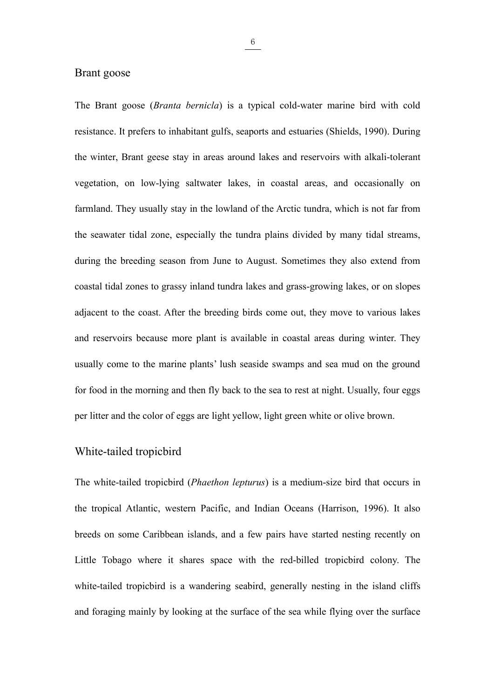<span id="page-17-0"></span> $rac{6}{2}$ <br>Brant goose (*Branta bernicla*) is a typical c<br>resistance. It profers to inhebitant cults connects and Brant goose<br>The Brant goose (*Branta bernicla*) is a typical cold-water marine bird with cold<br>resistance. It prefers to inhabitant gulfs, seaports and estuaries (Shields, 1990). During **EXECUTE:**<br>The Brant goose (*Branta bernicla*) is a typical cold-water marine bird with cold resistance. It prefers to inhabitant gulfs, seaports and estuaries (Shields, 1990). During the winter, Brant geese stay in areas **EXECT SET ASSEM BET ALL SET ALL SET ARE SET ARREST STATES ARE SET ARRENT SET ARRENT SERVICES ARRENT STATE STATE STATE STATE STATE STATE STATE STATE STATE STATE STATE STATE STATE STATE STATE STATE STATE STATE STATE STATE** <sup>6</sup><br>
The Brant goose (*Branta bernicla*) is a typical cold-water marine bird with cold<br>
resistance. It prefers to inhabitant gulfs, seaports and estuaries (Shields, 1990). During<br>
the winter, Brant geese stay in areas arou Framland goose (*Branta bernicla*) is a typical cold-water marine bird with cold resistance. It prefers to inhabitant gulfs, seaports and estuaries (Shields, 1990). During the winter, Brant geese stay in areas around lakes The Brant goose (*Branta bernicla*) is a typical cold-water marine bird with cold resistance. It prefers to inhabitant gulfs, seaports and estuaries (Shields, 1990). During the winter, Brant geese stay in areas around lake resistance. It prefers to inhabitant gulfs, seaports and estuaries (Shields, 1990). During<br>the winter, Brant geese stay in areas around lakes and reservoirs with alkali-tolerant<br>vegetation, on low-lying saltwater lakes, in the winter, Brant geese stay in areas around lakes and reservoirs with alkali-tolerant<br>vegetation, on low-lying saltwater lakes, in coastal areas, and occasionally on<br>farmland. They usually stay in the lowland of the Arcti vegetation, on low-lying saltwater lakes, in coastal areas, and occasionally on farmland. They usually stay in the lowland of the Arctic tundra, which is not far from the seawater tidal zone, especially the tundra plains d farmland. They usually stay in the lowland of the Arctic tundra, which is not far from<br>the seawater tidal zone, especially the tundra plains divided by many tidal streams,<br>during the breeding season from June to August. So the seawater tidal zone, especially the tundra plains divided by many tidal streams,<br>during the breeding season from June to August. Sometimes they also extend from<br>coastal tidal zones to grassy inland tundra lakes and gra during the breeding season from June to August. Sometimes they also extend from<br>coastal tidal zones to grassy inland tundra lakes and grass-growing lakes, or on slopes<br>adjacent to the coast. After the breeding birds come o coastal tidal zones to grassy inland tundra lakes and grass-growing lakes, or on slopes<br>adjacent to the coast. After the breeding birds come out, they move to various lakes<br>and reservoirs because more plant is available in coastal tidal zones to grassy inland tundra lakes and grass-g<br>adjacent to the coast. After the breeding birds come out, th<br>and reservoirs because more plant is available in coastal a<br>usually come to the marine plants' lush and reservoirs because more plant is available in coastal areas during winter. They<br>usually come to the marine plants' lush seaside swamps and sea mud on the ground<br>for food in the morning and then fly back to the sea to r

<span id="page-17-1"></span>usually come to the marine plants' lush seaside swamps and sea mud on the ground<br>for food in the morning and then fly back to the sea to rest at night. Usually, four eggs<br>per litter and the color of eggs are light yellow, for food in the morning and then fly back to the sea to rest at night. Usually, four eggs<br>per litter and the color of eggs are light yellow, light green white or olive brown.<br>White-tailed tropicbird<br>The white-tailed tropic per litter and the color of eggs are light yellow, light green white or olive brown.<br>
White-tailed tropicbird<br>
The white-tailed tropicbird (*Phaethon lepturus*) is a medium-size bird that occurs in<br>
the tropical Atlantic, White-tailed tropicbird (*Phaethon lepturus*) is a medium-size bird that occurs in the tropical Atlantic, western Pacific, and Indian Oceans (Harrison, 1996). It also breeds on some Caribbean islands, and a few pairs have The white-tailed tropicbird (*Phaethon lepturus*) is a medium-size bird that occurs in the tropical Atlantic, western Pacific, and Indian Oceans (Harrison, 1996). It also breeds on some Caribbean islands, and a few pairs h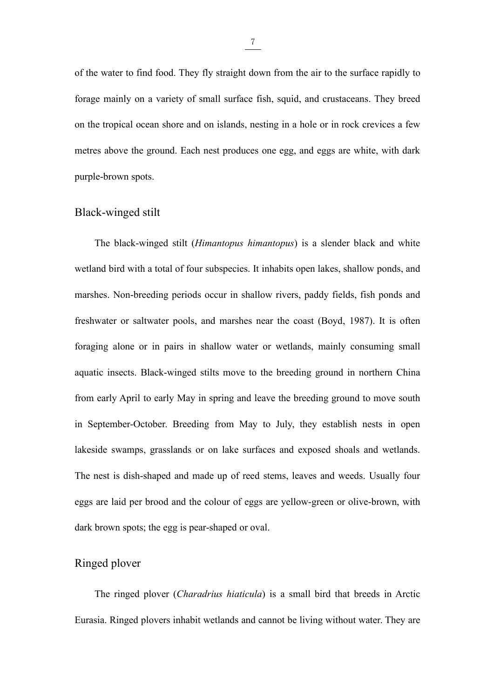$\frac{7}{100}$ <br>of the water to find food. They fly straight down from the air to the surface rapidly to<br>forage mainly on a variety of small surface fish, squid, and crustaceans. They breed of the water to find food. They fly straight down from the air to the surface rapidly to forage mainly on a variety of small surface fish, squid, and crustaceans. They breed on the tropical ocean shore and on islands, nes of the water to find food. They fly straight down from the air to the surface rapidly to forage mainly on a variety of small surface fish, squid, and crustaceans. They breed on the tropical ocean shore and on islands, nes  $\frac{7}{2}$ <br>of the water to find food. They fly straight down from the air to the surface rapidly to<br>forage mainly on a variety of small surface fish, squid, and crustaceans. They breed<br>on the tropical ocean shore and on is of the water to find food. They fly straight down fro<br>forage mainly on a variety of small surface fish, sq<br>on the tropical ocean shore and on islands, nesting is<br>metres above the ground. Each nest produces one eg<br>purple-b  $\frac{7}{10}$ <br>of the water to find food. They fly straight down from the air<br>forage mainly on a variety of small surface fish, squid, and<br>on the tropical ocean shore and on islands, nesting in a hole c<br>metres above the groun The black-winged stilt (*Himantopus himantopus*) is a slender black and white the black-winged stilt (*Himantopus himantopus*) is a slender black and white and bird with a total of four subspecies. It inhabits open lakes,

<span id="page-18-0"></span>on the tropical ocean shore and on islands, nesting in a hole or in rock crevices a few<br>metres above the ground. Each nest produces one egg, and eggs are white, with dark<br>purple-brown spots.<br>Black-winged stilt<br>The black-wi metres above the ground. Each nest produces one egg, and eggs are white, with dark<br>purple-brown spots.<br>Black-winged stilt<br>The black-winged stilt (*Himantopus himantopus*) is a slender black and white<br>wetland bird with a to purple-brown spots.<br>
Hlack-winged stilt<br>
The black-winged stilt (*Himantopus himantopus*) is a slender black and white<br>
wetland bird with a total of four subspecies. It inhabits open lakes, shallow ponds, and<br>
marshes. Non For black-winged stilt (*Himantopus himantopus*) is a slender black and white wetland bird with a total of four subspecies. It inhabits open lakes, shallow ponds, and marshes. Non-breeding periods occur in shallow rivers, The black-winged stilt (*Himantopus himantopus*) is a slender black and white wetland bird with a total of four subspecies. It inhabits open lakes, shallow ponds, and marshes. Non-breeding periods occur in shallow rivers, wetland bird with a total of four subspecies. It inhabits open lakes, shallow ponds, and<br>marshes. Non-breeding periods occur in shallow rivers, paddy fields, fish ponds and<br>freshwater or saltwater pools, and marshes near t marshes. Non-breeding periods occur in shallow rivers, paddy fields, fish ponds and<br>freshwater or saltwater pools, and marshes near the coast (Boyd, 1987). It is often<br>foraging alone or in pairs in shallow water or wetland freshwater or saltwater pools, and marshes near the coast (Boyd, 1987). It is often<br>foraging alone or in pairs in shallow water or wetlands, mainly consuming small<br>aquatic insects. Black-winged stilts move to the breeding foraging alone or in pairs in shallow water or wetlands, mainly consuming small<br>aquatic insects. Black-winged stilts move to the breeding ground in northern China<br>from early April to early May in spring and leave the breed aquatic insects. Black-winged stilts move to the breeding ground in northern China<br>from early April to early May in spring and leave the breeding ground to move south<br>in September-October. Breeding from May to July, they e from early April to early May in spring and leave the breeding ground to move so<br>in September-October. Breeding from May to July, they establish nests in c<br>lakeside swamps, grasslands or on lake surfaces and exposed shoals from early April to early May in spring and leave the<br>in September-October. Breeding from May to July<br>lakeside swamps, grasslands or on lake surfaces and<br>The nest is dish-shaped and made up of reed stems,<br>eggs are laid per ideswamps, grasslands or on lake surfaces and exposed shoals and wetlands.<br>
mest is dish-shaped and made up of reed stems, leaves and weeds. Usually four<br>
are laid per brood and the colour of eggs are yellow-green or oliv The nest is dish-shaped and made up of reed stems, leaves and weeds. Usually four<br>eggs are laid per brood and the colour of eggs are yellow-green or olive-brown, with<br>dark brown spots; the egg is pear-shaped or oval.<br>Ringe

<span id="page-18-1"></span>

7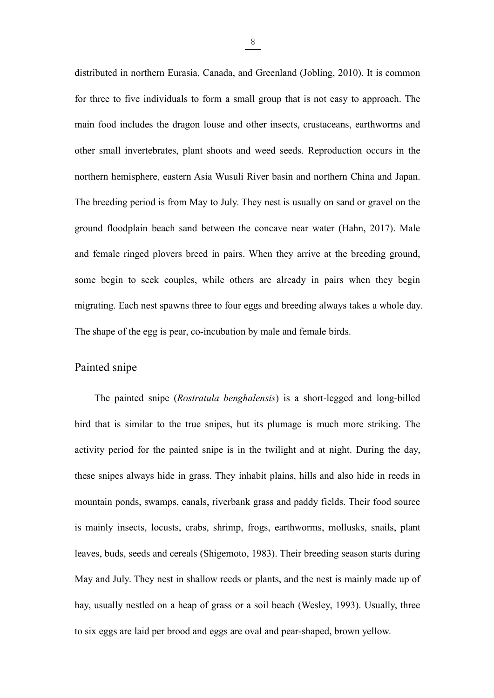<sup>8</sup><br>distributed in northern Eurasia, Canada, and Greenland (Jobling, 2010). It is common<br>for three to five individuals to form a small group that is not easy to approach. The distributed in northern Eurasia, Canada, and Greenland (Jobling, 2010). It is common<br>for three to five individuals to form a small group that is not easy to approach. The<br>main food includes the dragon louse and other inse  $\frac{8}{\sqrt{10}}$ <br>distributed in northern Eurasia, Canada, and Greenland (Jobling, 2010). It is common<br>for three to five individuals to form a small group that is not easy to approach. The<br>main food includes the dragon louse  $\frac{8}{5}$ <br>distributed in northern Eurasia, Canada, and Greenland (Jobling, 2010). It is common<br>for three to five individuals to form a small group that is not easy to approach. The<br>main food includes the dragon louse and  $\frac{8}{100}$ <br>distributed in northern Eurasia, Canada, and Greenland (Jobling, 2010). It is common<br>for three to five individuals to form a small group that is not easy to approach. The<br>main food includes the dragon louse an distributed in northern Eurasia, Canada, and Greenland (Jobling, 2010). It is common<br>for three to five individuals to form a small group that is not easy to approach. The<br>main food includes the dragon louse and other insec for three to five individuals to form a small group that is not easy to approach. The main food includes the dragon louse and other insects, crustaceans, earthworms and other small invertebrates, plant shoots and weed seed main food includes the dragon louse and other insects, crustaceans, earthworms and<br>other small invertebrates, plant shoots and weed seeds. Reproduction occurs in the<br>northern hemisphere, eastern Asia Wusuli River basin and other small invertebrates, plant shoots and weed seeds. Reproduction occurs in the northern hemisphere, eastern Asia Wusuli River basin and northern China and Japan. The breeding period is from May to July. They nest is us morthern hemisphere, eastern Asia Wusuli River basin and northern China and Japan.<br>The breeding period is from May to July. They nest is usually on sand or gravel on the<br>ground floodplain beach sand between the concave nea The breeding period is from May to July. They nest is usually on sand or gravel on the ground floodplain beach sand between the concave near water (Hahn, 2017). Male and female ringed plovers breed in pairs. When they arri The breeding period is from May to July. They nest is<br>ground floodplain beach sand between the concave i<br>and female ringed plovers breed in pairs. When they<br>some begin to seek couples, while others are alrea<br>migrating. Eac Female ringed plovers breed in pairs. When they arrive at the breeding ground,<br> *Rostratula bendhalensis*) is a short-legged and long-billed<br> *Rostratula benghalensis*) is a short-legged and long-billed<br>
that is similar to

<span id="page-19-0"></span>some begin to seek couples, while others are already in pairs when they begin<br>migrating. Each nest spawns three to four eggs and breeding always takes a whole day.<br>The shape of the egg is pear, co-incubation by male and fe migrating. Each nest spawns three to four eggs and breeding always takes a whole day.<br>The shape of the egg is pear, co-incubation by male and female birds.<br>Painted snipe<br>The painted snipe (*Rostratula benghalensis*) is a s The shape of the egg is pear, co-incubation by male and female birds.<br>
Painted snipe<br>
The painted snipe (*Rostratula benghalensis*) is a short-legged and long-billed<br>
bird that is similar to the true snipes, but its plumag Painted snipe<br>The painted snipe (*Rostratula benghalensis*) is a short-legged and long-billed<br>bird that is similar to the true snipes, but its plumage is much more striking. The<br>activity period for the painted snipe is in The painted snipe (*Rostratula benghalensis*) is a short-legged and long-billed<br>bird that is similar to the true snipes, but its plumage is much more striking. The<br>activity period for the painted snipe is in the twilight a bird that is similar to the true snipes, but its plumage is much more striking. The activity period for the painted snipe is in the twilight and at night. During the day, these snipes always hide in grass. They inhabit pla activity period for the painted snipe is in the twilight and at night. During the day, these snipes always hide in grass. They inhabit plains, hills and also hide in reeds in mountain ponds, swamps, canals, riverbank grass these snipes always hide in grass. They inhabit plains, hills and also hide in reeds in<br>mountain ponds, swamps, canals, riverbank grass and paddy fields. Their food source<br>is mainly insects, locusts, crabs, shrimp, frogs, mountain ponds, swamps, canals, riverbank grass and paddy fields. Their food source<br>is mainly insects, locusts, crabs, shrimp, frogs, earthworms, mollusks, snails, plant<br>leaves, buds, seeds and cereals (Shigemoto, 1983). T

8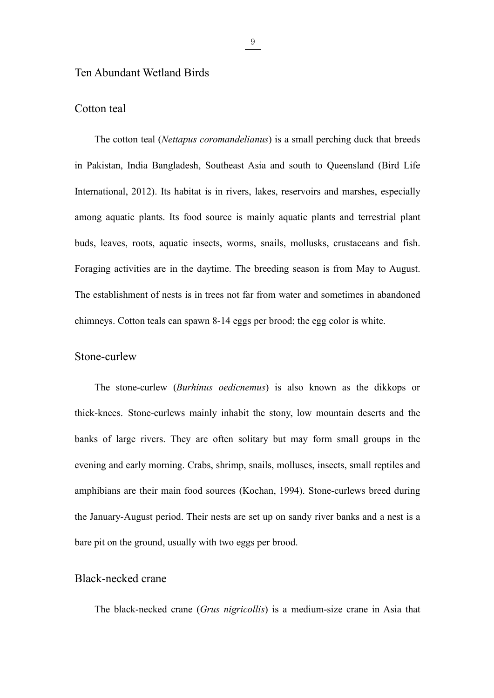# Ten Abundant Wetland Birds<br>
Cotton teal

<span id="page-20-1"></span><span id="page-20-0"></span><sup>9</sup><br>Ten Abundant Wetland Birds<br>Cotton teal<br>The cotton teal (*Nettapus coromandelianus*) is a<br>in Pakistan, India Bangladesh, Southeast Asia and The cotton teal (*Nettapus coromandelianus*) is a small perching duck that breeds<br>
Abundant (*Nettapus coromandelianus*) is a small perching duck that breeds<br>
akistan, India Bangladesh, Southeast Asia and south to Queensla **in Pakistan, India Bangladesh, Southeast Asia and south to Queensland (Bird Life International, 2012). Its habitat is in rivers, lakes, reservoirs and marshes, especially and south to**  $\frac{1}{2}$ **. It is the control of the** Ten Abundant Wetland Birds<br>
The cotton teal<br>
The cotton teal (*Nettapus coromandelianus*) is a small perching duck that breeds<br>
in Pakistan, India Bangladesh, Southeast Asia and south to Queensland (Bird Life<br>
Internation Ten Abundant Wetland Birds<br>
The cotton teal<br>
The cotton teal (*Nettapus coromandelianus*) is a small perching duck that breeds<br>
in Pakistan, India Bangladesh, Southeast Asia and south to Queensland (Bird Life<br>
Internationa Cotton teal<br>
The cotton teal (*Nettapus coromandelianus*) is a small perching duck that breeds<br>
in Pakistan, India Bangladesh, Southeast Asia and south to Queensland (Bird Life<br>
International, 2012). Its habitat is in rive The cotton teal (*Nettapus coromandelianus*) is a small perching duck that breeds<br>in Pakistan, India Bangladesh, Southeast Asia and south to Queensland (Bird Life<br>International, 2012). Its habitat is in rivers, lakes, rese in Pakistan, India Bangladesh, Southeast Asia and south to Queensland (Bird Life<br>International, 2012). Its habitat is in rivers, lakes, reservoirs and marshes, especially<br>among aquatic plants. Its food source is mainly aqu International, 2012). Its habitat is in rivers, lakes, reservoirs and marshes, especially among aquatic plants. Its food source is mainly aquatic plants and terrestrial plant buds, leaves, roots, aquatic insects, worms, sn The stone-curlew (*Burhinus oedicnemus*) is also known as the dikkops or shown as the diskoplanet of nests is in trees not far from water and sometimes in abandoned neys. Cotton teals can spawn 8-14 eggs per brood; the egg

## <span id="page-20-2"></span>Stone-curlew

Foraging activities are in the daytime. The breeding season is from May to August.<br>The establishment of nests is in trees not far from water and sometimes in abandoned<br>chimneys. Cotton teals can spawn 8-14 eggs per brood; The establishment of nests is in trees not far from water and sometimes in abandoned<br>chimneys. Cotton teals can spawn 8-14 eggs per brood; the egg color is white.<br>Stone-curlew<br>The stone-curlew (*Burhinus oedicnemus*) is al exercibency. Cotton teals can spawn 8-14 eggs per brood; the egg color is white.<br>
Stone-curlew<br>
The stone-curlew (*Burhinus oedicnemus*) is also known as the dikkops or<br>
thick-knees. Stone-curlews mainly inhabit the stony, Stone-curlew<br>The stone-curlew (*Burhinus oedicnemus*) is also known as the dikkops or<br>thick-knees. Stone-curlews mainly inhabit the stony, low mountain deserts and the<br>banks of large rivers. They are often solitary but may The stone-curlew (*Burhinus oedicnemus*) is also known as the dikkops or thick-knees. Stone-curlews mainly inhabit the stony, low mountain deserts and the banks of large rivers. They are often solitary but may form small g thick-knees. Stone-curlews mainly inhabit the stony, low mountain deserts and the banks of large rivers. They are often solitary but may form small groups in the evening and early morning. Crabs, shrimp, snails, molluscs, thick-knees. Stone-curlews mainly inhabit the stony, low m<br>banks of large rivers. They are often solitary but may for<br>evening and early morning. Crabs, shrimp, snails, molluscs, in<br>amphibians are their main food sources (K ing and early morning. Crabs, shrimp, snails, molluses, insects, small reptiles and<br>aibians are their main food sources (Kochan, 1994). Stone-curlews breed during<br>anuary-August period. Their nests are set up on sandy river

<span id="page-20-3"></span>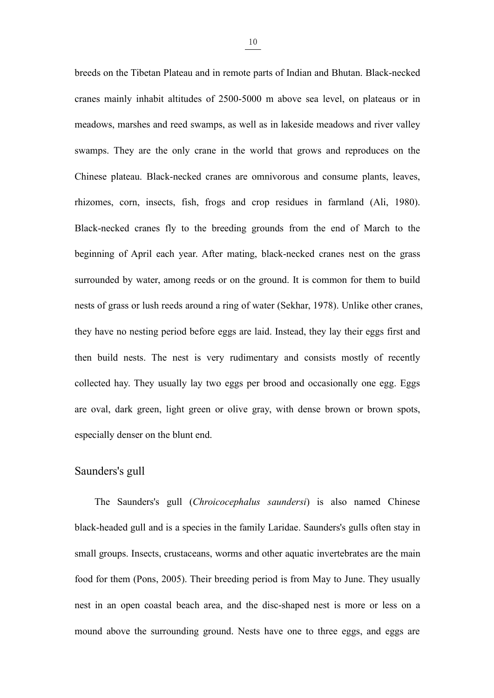<u>10</u><br>breeds on the Tibetan Plateau and in remote parts of Indian and Bhutan. Black-necked<br>cranes mainly inhabit altitudes of 2500-5000 m above sea level, on plateaus or in breeds on the Tibetan Plateau and in remote parts of Indian and Bhutan. Black-necked<br>cranes mainly inhabit altitudes of 2500-5000 m above sea level, on plateaus or in<br>meadows, marshes and reed swamps, as well as in lakesi breeds on the Tibetan Plateau and in remote parts of Indian and Bhutan. Black-necked<br>cranes mainly inhabit altitudes of 2500-5000 m above sea level, on plateaus or in<br>meadows, marshes and reed swamps, as well as in lakesi breeds on the Tibetan Plateau and in remote parts of Indian and Bhutan. Black-necked<br>cranes mainly inhabit altitudes of 2500-5000 m above sea level, on plateaus or in<br>meadows, marshes and reed swamps, as well as in lakesi <u>10</u><br>
breeds on the Tibetan Plateau and in remote parts of Indian and Bhutan. Black-necked<br>
cranes mainly inhabit altitudes of 2500-5000 m above sea level, on plateaus or in<br>
meadows, marshes and reed swamps, as well as in breeds on the Tibetan Plateau and in remote parts of Indian and Bhutan. Black-necked<br>cranes mainly inhabit altitudes of 2500-5000 m above sea level, on plateaus or in<br>meadows, marshes and reed swamps, as well as in lakesid eranes mainly inhabit altitudes of 2500-5000 m above sea level, on plateaus or in<br>meadows, marshes and reed swamps, as well as in lakeside meadows and river valley<br>swamps. They are the only crane in the world that grows an meadows, marshes and reed swamps, as well as in lakeside meadows and river valley<br>swamps. They are the only crane in the world that grows and reproduces on the<br>Chinese plateau. Black-necked cranes are omnivorous and consum swamps. They are the only crane in the world that grows and reproduces on the Chinese plateau. Black-necked cranes are omnivorous and consume plants, leaves, thizomes, corn, insects, fish, frogs and crop residues in farmla Chinese plateau. Black-necked cranes are omnivorous and consume plants, leaves, <br>rhizomes, corn, insects, fish, frogs and crop residues in farmland (Ali, 1980).<br>Black-necked cranes fly to the breeding grounds from the end they have no nesting period before eggs are laid. Instead, they lay their states are laid to the beginning of April each year. After mating, black-necked cranes nest on the grass surrounded by water, among reeds or on the Black-necked cranes fly to the breeding grounds from the end of March to the beginning of April each year. After mating, black-necked cranes nest on the grass surrounded by water, among reeds or on the ground. It is common beginning of April each year. After mating, black-necked cranes nest on the grass<br>surrounded by water, among reeds or on the ground. It is common for them to build<br>nests of grass or lush reeds around a ring of water (Sekha surrounded by water, among reeds or on the ground. It is common for them to build<br>nests of grass or lush reeds around a ring of water (Sekhar, 1978). Unlike other cranes,<br>they have no nesting period before eggs are laid. I nests of grass or lush reeds around a ring of water (Sekhar, 1978). Unthey have no nesting period before eggs are laid. Instead, they lay the blunt end. The mest is very rudimentary and consists m collected hay. They usual nests of grass or lush reeds around a ring of water (Sekhar<br>they have no nesting period before eggs are laid. Instead,<br>then build nests. The nest is very rudimentary and c<br>collected hay. They usually lay two eggs per brood build nests. The nest is very rudimentary and consists mostly of recently<br>cted hay. They usually lay two eggs per brood and occasionally one egg. Eggs<br>val, dark green, light green or olive gray, with dense brown or brown s

<span id="page-21-0"></span>collected hay. They usually lay two eggs per brood and occasionally one egg. Eggs<br>are oval, dark green, light green or olive gray, with dense brown or brown spots,<br>especially denser on the blunt end.<br>Saunders's gull<br>The Sa small groups. Insects, crustaceans, worms and other aquatic invertebrates are the main same of Saunders's gull<br>The Saunders's gull (*Chroicocephalus saundersi*) is also named Chinese<br>black-headed gull and is a species in t for the m (Pons, 2005). Their breeding period is from May to June. They usually them (Pons, 2005). Their breeding period is from May to June. They usually nest in an open coastal beach area, and the disc-shaped nest is mor Saunders's gull<br>The Saunders's gull *(Chroicocephalus saundersi)* is also named Chinese<br>black-headed gull and is a species in the family Laridae. Saunders's gulls often stay in<br>small groups. Insects, crustaceans, worms and The Saunders's gull *(Chroicocephalus saundersi)* is also named Chinese<br>black-headed gull and is a species in the family Laridae. Saunders's gulls often stay in<br>small groups. Insects, crustaceans, worms and other aquatic i

10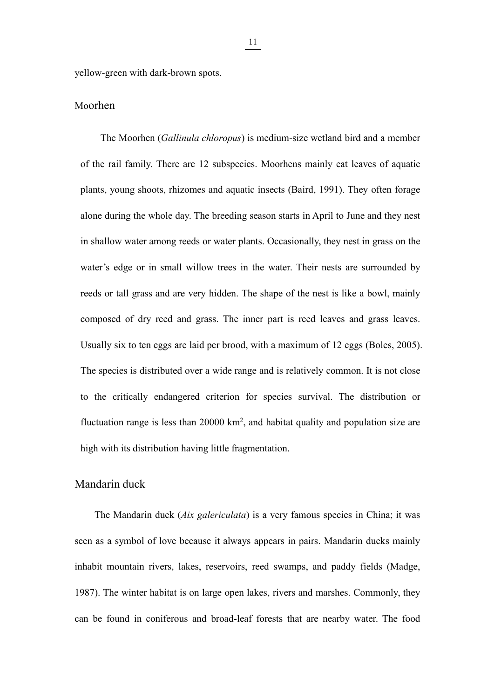yellow-green with dark-brown spots.<br>Moorhen

# <span id="page-22-0"></span>Moorhen

The Moorhen (*Gallinula chloropus*) is medium-size wetland bird and a member<br>
The Moorhen (*Gallinula chloropus*) is medium-size wetland bird and a member<br>
e rail family. There are 12 subspecies. Moorhens mainly eat leaves **of the rail family.** There are 12 subspecies. Moorhens mainly eat leaves of aquatic plants, young shoots, thizomes and aquatic insects (Baird, 1991). They often forage plants, young shoots, rhizomes and aquatic insects (Baird, 1991). They often forage alone during the whole day. The breeding season starts in April to June and they nest Fraction during the Moorhen *(Gallinula chloropus)* is medium-size wetland bird and a member<br>of the rail family. There are 12 subspecies. Moorhens mainly eat leaves of aquatic<br>plants, young shoots, rhizomes and aquatic ins **in Shallow Markon (Gallinula chloropus)** is medium-size wetland bird and a member<br>of the rail family. There are 12 subspecies. Moorhens mainly eat leaves of aquatic<br>plants, young shoots, rhizomes and aquatic insects (Bair The Moorhen (*Gallinula chloropus*) is medium-size wetland bird and a member<br>of the rail family. There are 12 subspecies. Moorhens mainly eat leaves of aquatic<br>plants, young shoots, rhizomes and aquatic insects (Baird, 199 of the rail family. There are 12 subspecies. Moorhens mainly eat leaves of aquatic<br>plants, young shoots, rhizomes and aquatic insects (Baird, 1991). They often forage<br>alone during the whole day. The breeding season starts plants, young shoots, rhizomes and aquatic insects (Baird, 1991). They often forage<br>alone during the whole day. The breeding season starts in April to June and they nest<br>in shallow water among reeds or water plants. Occasi alone during the whole day. The breeding season starts in April to June and they nest<br>in shallow water among reeds or water plants. Occasionally, they nest in grass on the<br>water's edge or in small willow trees in the water in shallow water among reeds or water plants. Occasionally, they nest in grass on the water's edge or in small willow trees in the water. Their nests are surrounded by reeds or tall grass and are very hidden. The shape of water's edge or in small willow trees in the water. Their nests are surrounded by<br>reeds or tall grass and are very hidden. The shape of the nest is like a bowl, mainly<br>composed of dry reed and grass. The inner part is reed reeds or tall grass and are very hidden. The shape of the nest is like a bov<br>composed of dry reed and grass. The inner part is reed leaves and gra<br>Usually six to ten eggs are laid per brood, with a maximum of 12 eggs (Bo<br>T The shape of the nest is like a bowl, mainly<br>
inner part is reed leaves and grass leaves.<br>
1, with a maximum of 12 eggs (Boles, 2005).<br>
Inge and is relatively common. It is not close<br>
for species survival. The distribution composed of dry reed and grass. The inner part is reed leaves and grass.<br>Usually six to ten eggs are laid per brood, with a maximum of 12 eggs (Bole<br>The species is distributed over a wide range and is relatively common. It composed of dry reed and grass. The inner part is re<br>Usually six to ten eggs are laid per brood, with a maxim<br>The species is distributed over a wide range and is relat<br>to the critically endangered criterion for species s<br> species is distributed over a wide range and is relatively common. It is not close<br>the critically endangered criterion for species survival. The distribution or<br>tuation range is less than 20000 km<sup>2</sup>, and habitat quality a

<span id="page-22-1"></span>to the critically endangered criterion for species survival. The distribution or<br>fluctuation range is less than 20000 km<sup>2</sup>, and habitat quality and population size are<br>high with its distribution having little fragmentati fluctuation range is less than 20000 km<sup>2</sup>, and habitat quality and population size are high with its distribution having little fragmentation.<br>
Mandarin duck<br>
The Mandarin duck (*Aix galericulata*) is a very famous speci 1987). Mandarin duck *(Aix galericulata)* is a very famous species in China; it was<br>seen as a symbol of love because it always appears in pairs. Mandarin ducks mainly<br>inhabit mountain rivers, lakes, reservoirs, reed swamps Mandarin duck<br>The Mandarin duck (*Aix galericulata*) is a very famous species in China; it was<br>seen as a symbol of love because it always appears in pairs. Mandarin ducks mainly<br>inhabit mountain rivers, lakes, reservoirs,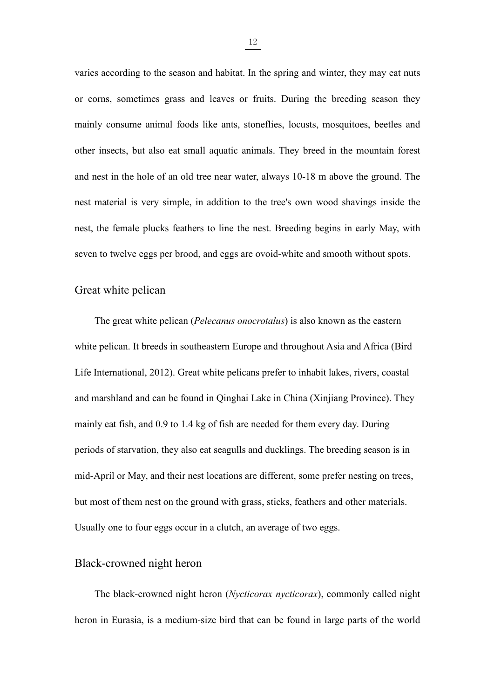$\frac{12}{12}$ <br>varies according to the season and habitat. In the spring and winter, they may eat nuts<br>or corns, sometimes grass and leaves or fruits. During the breeding season they varies according to the season and habitat. In the spring and winter, they may eat nuts<br>or corns, sometimes grass and leaves or fruits. During the breeding season they<br>mainly consume animal foods like ants, stoneflies, lo varies according to the season and habitat. In the spring and winter, they may eat nuts<br>or corns, sometimes grass and leaves or fruits. During the breeding season they<br>mainly consume animal foods like ants, stoneflies, lo  $\frac{12}{12}$ <br>varies according to the season and habitat. In the spring and winter, they may eat nuts<br>or corns, sometimes grass and leaves or fruits. During the breeding season they<br>mainly consume animal foods like ants, st  $\frac{12}{12}$ <br>varies according to the season and habitat. In the spring and winter, they may eat nuts<br>or corns, sometimes grass and leaves or fruits. During the breeding season they<br>mainly consume animal foods like ants, st varies according to the season and habitat. In the spring and winter, they may eat nuts<br>or corns, sometimes grass and leaves or fruits. During the breeding season they<br>mainly consume animal foods like ants, stoneflies, loc or corns, sometimes grass and leaves or fruits. During the breeding season they mainly consume animal foods like ants, stoneflies, locusts, mosquitoes, beetles and other insects, but also cat small aquatic animals. They br mainly consume animal foods like ants, stoneflies, locusts, mosquitoes, beetles and<br>other insects, but also eat small aquatic animals. They breed in the mountain forest<br>and nest in the hole of an old tree near water, alway mainly consume animal foods like ants, stoneflies, locust<br>other insects, but also eat small aquatic animals. They bre<br>and nest in the hole of an old tree near water, always 10-18<br>nest material is very simple, in addition t nest in the hole of an old tree near water, always 10-18 m above the ground. The material is very simple, in addition to the tree's own wood shavings inside the the female plucks feathers to line the nest. Breeding begins

<span id="page-23-0"></span>mest material is very simple, in addition to the tree's own wood shavings inside the<br>nest, the female plucks feathers to line the nest. Breeding begins in early May, with<br>seven to twelve eggs per brood, and eggs are ovoidnest, the female plucks feathers to line the nest. Breeding begins in early May, with<br>seven to twelve eggs per brood, and eggs are ovoid-white and smooth without spots.<br>Great white pelican<br>The great white pelican (*Pelecan* seven to twelve eggs per brood, and eggs are ovoid-white and smooth without spots.<br>
Great white pelican<br>
The great white pelican (*Pelecanus onocrotalus*) is also known as the eastern<br>
white pelican. It breeds in southeast Great white pelican<br>
The great white pelican (*Pelecanus onocrotalus*) is also known as the eastern<br>
white pelican. It breeds in southeastern Europe and throughout Asia and Africa (Bird<br>
Life International, 2012). Great wh The great white pelican (*Pelecanus onocrotalus*) is also known as the eastern<br>white pelican. It breeds in southeastern Europe and throughout Asia and Africa (Bird<br>Life International, 2012). Great white pelicans prefer to white pelican. It breeds in southeastern Europe and throughout Asia and Africa (Bird<br>Life International, 2012). Great white pelicans prefer to inhabit lakes, rivers, coastal<br>and marshland and can be found in Qinghai Lake i Life International, 2012). Great white pelicans prefer to inhabit lakes, rivers, coastal<br>and marshland and can be found in Qinghai Lake in China (Xinjiang Province). They<br>mainly eat fish, and 0.9 to 1.4 kg of fish are need and marshland and can be found in Qinghai Lake in China (Xinjiang Province). They<br>mainly eat fish, and 0.9 to 1.4 kg of fish are needed for them every day. During<br>periods of starvation, they also eat seagulls and ducklings and marshland and can be found in Qinghai Lake in China (Xinjiang P<br>mainly eat fish, and 0.9 to 1.4 kg of fish are needed for them every day<br>periods of starvation, they also eat seagulls and ducklings. The breedin<br>mid-Apri ds of starvation, they also cat seagulls and ducklings. The breeding season is in<br>April or May, and their nest locations are different, some prefer nesting on trees,<br>nost of them nest on the ground with grass, sticks, feat mid-April or May, and their nest locations are different, some prefer nesting on trees,<br>but most of them nest on the ground with grass, sticks, feathers and other materials.<br>Usually one to four eggs occur in a clutch, an a

<span id="page-23-1"></span>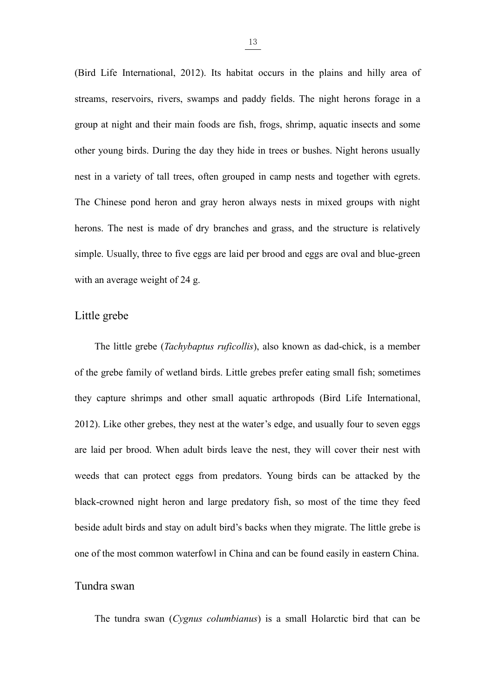$\frac{13}{2}$ <br>(Bird Life International, 2012). Its habitat occurs in the plains and hilly area of streams, reservoirs, rivers, swamps and paddy fields. The night herons forage in a (Bird Life International, 2012). Its habitat occurs in the plains and hilly area of streams, reservoirs, rivers, swamps and paddy fields. The night herons forage in a group at night and their main foods are fish, frogs, s (Bird Life International, 2012). Its habitat occurs in the plains and hilly area of streams, reservoirs, rivers, swamps and paddy fields. The night herons forage in a group at night and their main foods are fish, frogs, s **oung birds.** (Bird Life International, 2012). Its habitat occurs in the plains and hilly area of streams, reservoirs, rivers, swamps and paddy fields. The night herons forage in a group at night and their main foods are <sup>13</sup><br>(Bird Life International, 2012). Its habitat occurs in the plains and hilly area of<br>streams, reservoirs, rivers, swamps and paddy fields. The night herons forage in a<br>group at night and their main foods are fish, frog (Bird Life International, 2012). Its habitat occurs in the plains and hilly area of streams, reservoirs, rivers, swamps and paddy fields. The night herons forage in a group at night and their main foods are fish, frogs, sh streams, reservoirs, rivers, swamps and paddy fields. The night herons forage in a<br>group at night and their main foods are fish, frogs, shrimp, aquatic insects and some<br>other young birds. During the day they hide in trees group at night and their main foods are fish, frogs, shrimp, aquatic insects and some<br>other young birds. During the day they hide in trees or bushes. Night herons usually<br>nest in a variety of tall trees, often grouped in c other young birds. During the day they hide in trees or bushes. Nignest in a variety of tall trees, often grouped in camp nests and tog<br>The Chinese pond heron and gray heron always nests in mixed alternoons. The nest is ma other young birds. During the day they hide in tree<br>nest in a variety of tall trees, often grouped in can<br>The Chinese pond heron and gray heron always r<br>herons. The nest is made of dry branches and gra<br>simple. Usually, thr The little grebe (*Tachybaptus ruficollis*), also known as dad-chick, is a member grebe family of wetland birds. Little grebes  $\frac{1}{2}$ ,  $\frac{1}{2}$ ,  $\frac{1}{2}$ ,  $\frac{1}{2}$ ,  $\frac{1}{2}$ ,  $\frac{1}{2}$ ,  $\frac{1}{2}$ ,  $\frac{1}{2}$ ,  $\frac{1}{2$ 

<span id="page-24-0"></span>herons. The nest is made of dry branches and grass, and the structure is relatively<br>simple. Usually, three to five eggs are laid per brood and eggs are oval and blue-green<br>with an average weight of 24 g.<br>Little grebe<br>The l simple. Usually, three to five eggs are laid per brood and eggs are oval and blue-green<br>with an average weight of 24 g.<br>Little grebe<br>The little grebe (*Tachybaptus ruficollis*), also known as dad-chick, is a member<br>of the 2012). Like other grebes, they nest at the water's edge, and usually four to seven entirely equation of the grebe family of wetland birds. Little grebes prefer eating small fish; sometimes they capture shrimps and other sm Little grebe<br>
The little grebe (*Tachybaptus ruficollis*), also known as dad-chick, is a member<br>
of the grebe family of wetland birds. Little grebes prefer eating small fish; sometimes<br>
they capture shrimps and other small The little grebe (*Tachybaptus ruficollis*), also known as dad-chick, is a member<br>of the grebe family of wetland birds. Little grebes prefer eating small fish; sometimes<br>they capture shrimps and other small aquatic arthrop black-crowned night heron and large predatory fish, sometimes and fish; sometimes they capture shrimps and other small aquatic arthropods (Bird Life International, 2012). Like other grebes, they nest at the water's edge, a they capture shrimps and other small aquatic arthropods (Bird Life International, 2012). Like other grebes, they nest at the water's edge, and usually four to seven eggs are laid per brood. When adult birds leave the nest, 2012). Like other grebes, they nest at the water's edge, and usually four to seven eggs are laid per brood. When adult birds leave the nest, they will cover their nest with weeds that can protect eggs from predators. Young 2012). Like other grebes, they nest at the water's edge<br>are laid per brood. When adult birds leave the nest,<br>weeds that can protect eggs from predators. Young<br>black-crowned night heron and large predatory fish,<br>beside adul Its that can protect eggs from predators. Young birds can be attacked by the c-crowned night heron and large predatory fish, so most of the time they feed le adult birds and stay on adult bird's backs when they migrate. Th

<span id="page-24-1"></span>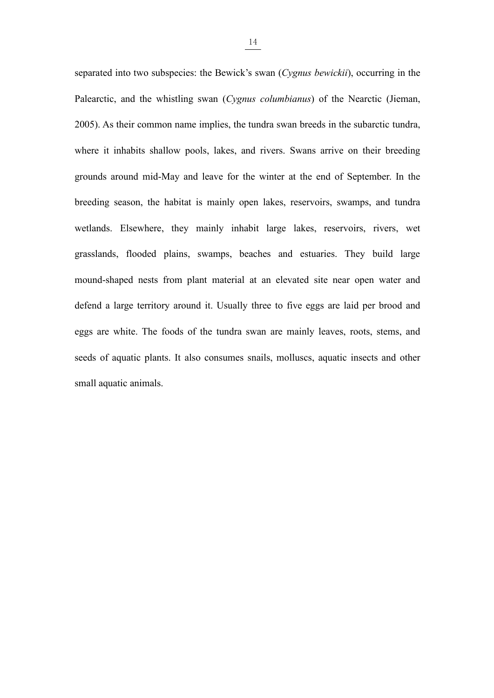14<br>separated into two subspecies: the Bewick's swan (*Cygnus bewickii*), occurring in the<br>Palearctic, and the whistling swan (*Cygnus columbianus*) of the Nearctic (Jieman, separated into two subspecies: the Bewick's swan (*Cygnus bewickit*), occurring in the Palearctic, and the whistling swan (*Cygnus columbianus*) of the Nearctic (Jieman, 2005). As their common name implies, the tundra swa 2005). As their common name implies, the tundra swan (*Cygnus bewickii*), occurring in the Palearctic, and the whistling swan (*Cygnus columbianus*) of the Nearctic (Jieman, 2005). As their common name implies, the tundra separated into two subspecies: the Bewick's swan (*Cygnus bewickii*), occurring in the Palearctic, and the whistling swan (*Cygnus columbianus*) of the Nearctic (Jieman, 2005). As their common name implies, the tundra swa grounds around mid-May and leave for the winter at the end of September. In the Palearctic, and the whistling swan (Cygnus columbianus) of the Nearctic (Jieman, 2005). As their common name implies, the tundra swan breeds separated into two subspecies: the Bewick's swan (Cygnus bewickii), occurring in the Palearctic, and the whistling swan (Cygnus columbianus) of the Nearctic (Jieman, 2005). As their common name implies, the tundra swan bre Palearctic, and the whistling swan (*Cygnus columbianus*) of the Nearctic (Jieman, 2005). As their common name implies, the tundra swan breeds in the subarctic tundra, where it inhabits shallow pools, lakes, and rivers. Sw 2005). As their common name implies, the tundra swan breeds in the subarctic tundra, where it inhabits shallow pools, lakes, and rivers. Swans arrive on their breeding grounds around mid-May and leave for the winter at the where it inhabits shallow pools, lakes, and rivers. Swans arrive on their breeding<br>grounds around mid-May and leave for the winter at the end of September. In the<br>breeding season, the habitat is mainly open lakes, reservoi grounds around mid-May and leave for the winter at the end of September. In the breeding season, the habitat is mainly open lakes, reservoirs, swamps, and tundra wetlands. Elsewhere, they mainly inhabit large lakes, reserv breeding season, the habitat is mainly open lakes, reservoirs, swamps, and tundra<br>wetlands. Elsewhere, they mainly inhabit large lakes, reservoirs, rivers, wet<br>grasslands, flooded plains, swamps, beaches and estuaries. The wetlands. Elsewhere, they mainly inhabit large lakes, reservoirs, rivers, wet<br>grasslands, flooded plains, swamps, beaches and estuaries. They build large<br>mound-shaped nests from plant material at an elevated site near open grasslands, flooded plains, swamps, beaches and<br>mound-shaped nests from plant material at an eld<br>defend a large territory around it. Usually three to<br>eggs are white. The foods of the tundra swan are<br>seeds of aquatic plants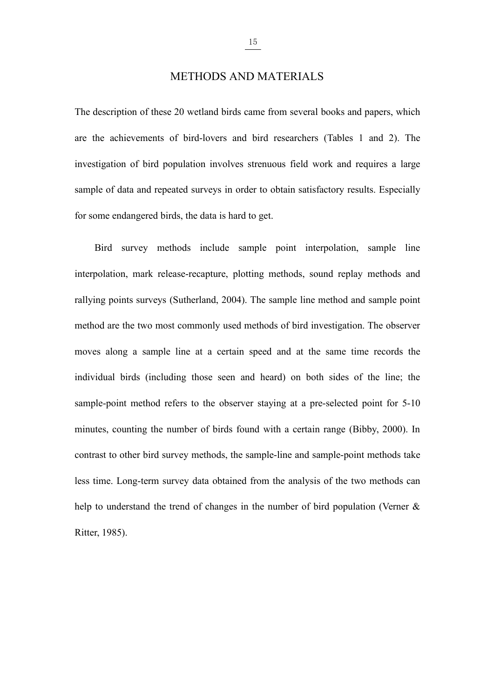15<br>METHODS AND MATERIALS<br>20 wetland birds came from several books and papers, which  $\frac{15}{15}$ <br>The description of these 20 wetland birds came from several books and papers, which<br>are the achievements of bird-lovers and bird researchers (Tables 1 and 2). The **are the achievements of bird-lovers and bird researchers (Tables 1 and 2). The** investigation of bird-lovers and bird researchers (Tables 1 and 2). The investigation of bird population involves strenuous field work and r **investigation** of these 20 wetland birds came from several books and papers, which<br>are the achievements of bird-lovers and bird researchers (Tables 1 and 2). The<br>investigation of bird population involves strenuous field w Sample of these 20 wetland birds came from several books and papers, which<br>are the achievements of bird-lovers and bird researchers (Tables 1 and 2). The<br>investigation of bird population involves strenuous field work and r METHODS AND MATERIALS<br>The description of these 20 wetland birds came from several books and papers, which<br>are the achievements of bird-lovers and bird researchers (Tables 1 and 2). The<br>investigation of bird population invo description of these 20 wetland birds came from several books and papers, which<br>the achievements of bird-lovers and bird researchers (Tables 1 and 2). The<br>tigation of bird population involves strenuous field work and requi are the achievements of bird-lovers and bird researchers (Tables 1 and 2). The<br>investigation of bird population involves strenuous field work and requires a large<br>sample of data and repeated surveys in order to obtain sati

<span id="page-26-0"></span>investigation of bird population involves strenuous field work and requires a large sample of data and repeated surveys in order to obtain satisfactory results. Especially for some endangered birds, the data is hard to get sample of data and repeated surveys in order to obtain satisfactory results. Especially<br>for some endangered birds, the data is hard to get.<br>Hird survey methods include sample point interpolation, sample line<br>interpolation, for some endangered birds, the data is hard to get.<br>Bird survey methods include sample point interpolation, sample line<br>interpolation, mark release-recapture, plotting methods, sound replay methods and<br>rallying points surv Bird survey methods include sample point interpolation, sample line<br>interpolation, mark release-recapture, plotting methods, sound replay methods and<br>rallying points surveys (Sutherland, 2004). The sample line method and s interpolation, mark release-recapture, plotting methods, sound replay methods and<br>rallying points surveys (Sutherland, 2004). The sample line method and sample point<br>method are the two most commonly used methods of bird in rallying points surveys (Sutherland, 2004). The sample line method and sample point<br>method are the two most commonly used methods of bird investigation. The observer<br>moves along a sample line at a certain speed and at the method are the two most commonly used methods of bird investigation. The observer<br>moves along a sample line at a certain speed and at the same time records the<br>individual birds (including those seen and heard) on both side moves along a sample line at a certain speed and at the same time records the<br>individual birds (including those seen and heard) on both sides of the line; the<br>sample-point method refers to the observer staying at a pre-sel individual birds (including those seen and heard) on both sides of the line; the sample-point method refers to the observer staying at a pre-selected point for 5-10 minutes, counting the number of birds found with a certai sample-point method refers to the observer<br>minutes, counting the number of birds found<br>contrast to other bird survey methods, the sam<br>less time. Long-term survey data obtained fr<br>help to understand the trend of changes in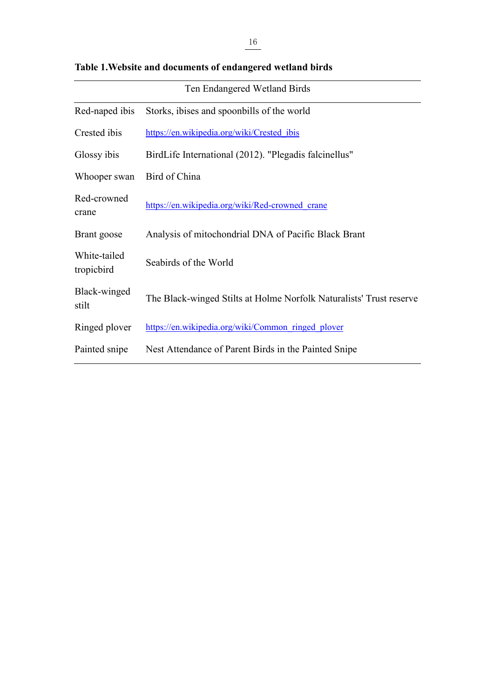|                                                            | 16                                                                  |
|------------------------------------------------------------|---------------------------------------------------------------------|
| Table 1. Website and documents of endangered wetland birds |                                                                     |
|                                                            | Ten Endangered Wetland Birds                                        |
| Red-naped ibis                                             | Storks, ibises and spoonbills of the world                          |
| Crested ibis                                               | https://en.wikipedia.org/wiki/Crested ibis                          |
| Glossy ibis                                                | BirdLife International (2012). "Plegadis falcinellus"               |
| Whooper swan                                               | Bird of China                                                       |
| Red-crowned<br>crane                                       | https://en.wikipedia.org/wiki/Red-crowned crane                     |
| Brant goose                                                | Analysis of mitochondrial DNA of Pacific Black Brant                |
| White-tailed<br>tropicbird                                 | Seabirds of the World                                               |
| Black-winged<br>stilt                                      | The Black-winged Stilts at Holme Norfolk Naturalists' Trust reserve |
| Ringed plover                                              | https://en.wikipedia.org/wiki/Common ringed plover                  |
| Painted snipe                                              | Nest Attendance of Parent Birds in the Painted Snipe                |

<span id="page-27-0"></span>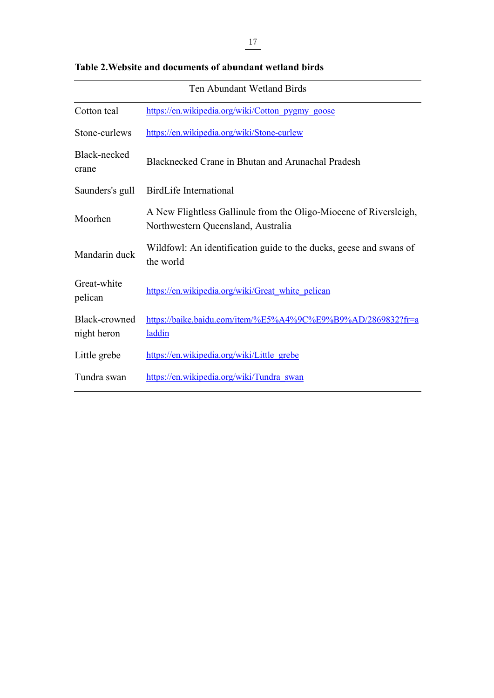<span id="page-28-0"></span>

|                                                          | 17                                                                                                      |  |  |
|----------------------------------------------------------|---------------------------------------------------------------------------------------------------------|--|--|
| Table 2. Website and documents of abundant wetland birds |                                                                                                         |  |  |
| Ten Abundant Wetland Birds                               |                                                                                                         |  |  |
| Cotton teal                                              | https://en.wikipedia.org/wiki/Cotton_pygmy_goose                                                        |  |  |
| Stone-curlews                                            | https://en.wikipedia.org/wiki/Stone-curlew                                                              |  |  |
| Black-necked<br>crane                                    | Blacknecked Crane in Bhutan and Arunachal Pradesh                                                       |  |  |
| Saunders's gull                                          | <b>BirdLife International</b>                                                                           |  |  |
| Moorhen                                                  | A New Flightless Gallinule from the Oligo-Miocene of Riversleigh,<br>Northwestern Queensland, Australia |  |  |
| Mandarin duck                                            | Wildfowl: An identification guide to the ducks, geese and swans of<br>the world                         |  |  |
| Great-white<br>pelican                                   | https://en.wikipedia.org/wiki/Great white pelican                                                       |  |  |
| Black-crowned<br>night heron                             | https://baike.baidu.com/item/%E5%A4%9C%E9%B9%AD/2869832?fr=a<br><b>laddin</b>                           |  |  |
| Little grebe                                             | https://en.wikipedia.org/wiki/Little grebe                                                              |  |  |
| Tundra swan                                              | https://en.wikipedia.org/wiki/Tundra swan                                                               |  |  |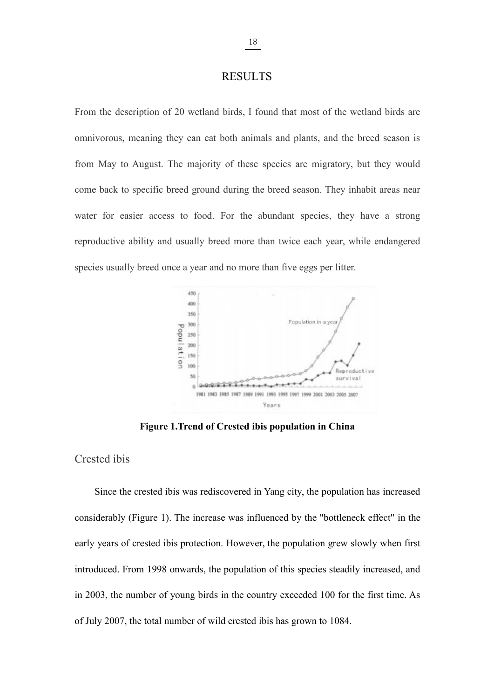# **RESULTS**

From the description of 20 wetland birds, I found that most of the wetland birds are omnivorous, meaning they can eat both animals and plants, and the breed season is from May to August. The majority of these species are migratory, but they would come back to specific breed ground during the breed season. They inhabit areas near water for easier access to food. For the abundant species, they have a strong reproductive ability and usually breed more than twice each year, while endangered species usually breed once a year and no more than five eggs per litter.



**Figure 1. Trend of Crested ibis population in China** 

# Crested ibis

Since the crested ibis was rediscovered in Yang city, the population has increased considerably (Figure 1). The increase was influenced by the "bottleneck effect" in the early years of crested ibis protection. However, the population grew slowly when first introduced. From 1998 onwards, the population of this species steadily increased, and in 2003, the number of young birds in the country exceeded  $100$  for the first time. As of July 2007, the total number of wild crested ibis has grown to  $1084$ .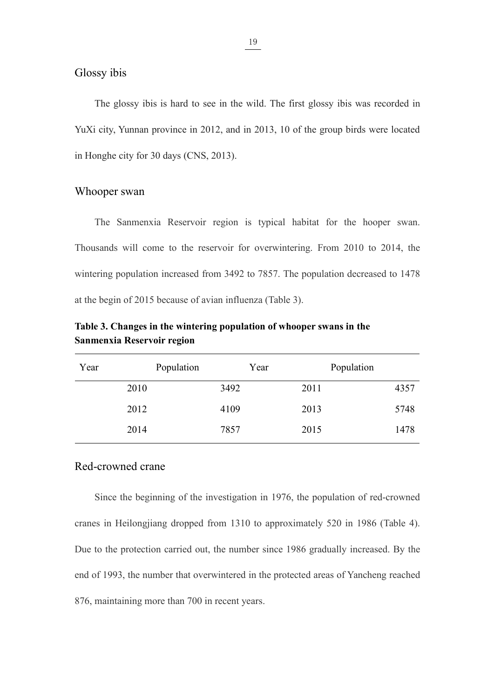$\frac{19}{19}$ <br>Glossy ibis<br>The glossy ibis is hard to see in the wild. The 1<br>YuXi city Yunnan province in 2012, and in 2013, 10  $\frac{19}{19}$ <br>The glossy ibis is hard to see in the wild. The first glossy ibis was recorded in<br>i city, Yunnan province in 2012, and in 2013, 10 of the group birds were located  $\frac{19}{19}$ <br>The glossy ibis is hard to see in the wild. The first glossy ibis was recorded in YuXi city, Yunnan province in 2012, and in 2013, 10 of the group birds were located in Honghe city for 30 days (CNS, 2013). <sup>19</sup><br>
Glossy ibis<br>
The glossy ibis is hard to see in the wild. The first glossy ibis wa<br>
YuXi city, Yunnan province in 2012, and in 2013, 10 of the group birds<br>
in Honghe city for 30 days (CNS, 2013).<br>
Whooper swan  $\frac{19}{19}$ <br>
Glossy ibis<br>
The glossy ibis is hard to see in the wild. The firs<br>
YuXi city, Yunnan province in 2012, and in 2013, 10 of<br>
in Honghe city for 30 days (CNS, 2013).<br>
Whooper swan<br>
The Sanmenxia Reservoir region The glossy ibis is hard to see in the wild. The first glossy ibis was recorded in<br>icity, Yunnan province in 2012, and in 2013, 10 of the group birds were located<br>onghe city for 30 days (CNS, 2013).<br>Opper swan.<br>The Sanmenxi

<span id="page-30-1"></span><span id="page-30-0"></span>The glossy ibis is hard to see in the wild. The first glossy ibis was recorded in YuXi city, Yunnan province in 2012, and in 2013, 10 of the group birds were located in Honghe city for 30 days (CNS, 2013).<br>
Whooper swan<br>
T YuXi city, Yunnan province in 2012, and in 2013, 10 of the group birds were located<br>in Honghe city for 30 days (CNS, 2013).<br>Whooper swan<br>Thousands will come to the reservoir for overwintering. From 2010 to 2014, the<br>winter in Honghe city for 30 days (CNS, 2013).<br>
Whooper swan<br>
The Sanmenxia Reservoir region is typical habitat for the hooper swan.<br>
Thousands will come to the reservoir for overwintering. From 2010 to 2014, the<br>
wintering popul **Thousands will come to the reservoir region is typical habitat for the hooper swan.**<br>Thousands will come to the reservoir for overwintering. From 2010 to 2014, the wintering population increased from 3492 to 7857. The pop The Sanmenxia Reservoir region is typical habitat<br>
Thousands will come to the reservoir for overwintering. F<br>
wintering population increased from 3492 to 7857. The popul<br>
at the begin of 2015 because of avian influenza (Ta

<span id="page-30-3"></span>

| Year | Population | Year | Population |      |
|------|------------|------|------------|------|
|      | 2010       | 3492 | 2011       | 4357 |
|      | 2012       | 4109 | 2013       | 5748 |
|      | 2014       | 7857 | 2015       | 1478 |

<span id="page-30-2"></span>2010 3492 2011 4357<br>
2012 4109 2013 5748<br>
2014 7857 2015 1478<br>
Red-crowned crane<br>
Since the beginning of the investigation in 1976, the population of red-crowned<br>
cranes in Heilongjiang dropped from 1310 to approximately 5 2012 4109 2013 5748<br>
2014 7857 2015 1478<br>
Red-crowned crane<br>
Since the beginning of the investigation in 1976, the population of red-crowned<br>
cranes in Heilongjiang dropped from 1310 to approximately 520 in 1986 (Table 4). 2014 7857 2015 1478<br>
Red-crowned crane<br>
Since the beginning of the investigation in 1976, the population of red-crowned<br>
cranes in Heilongjiang dropped from 1310 to approximately 520 in 1986 (Table 4).<br>
Due to the protecti Red-crowned crane<br>Since the beginning of the investigation in 1976, the population of red-cro<br>cranes in Heilongjiang dropped from 1310 to approximately 520 in 1986 (Tal<br>Due to the protection carried out, the number since 1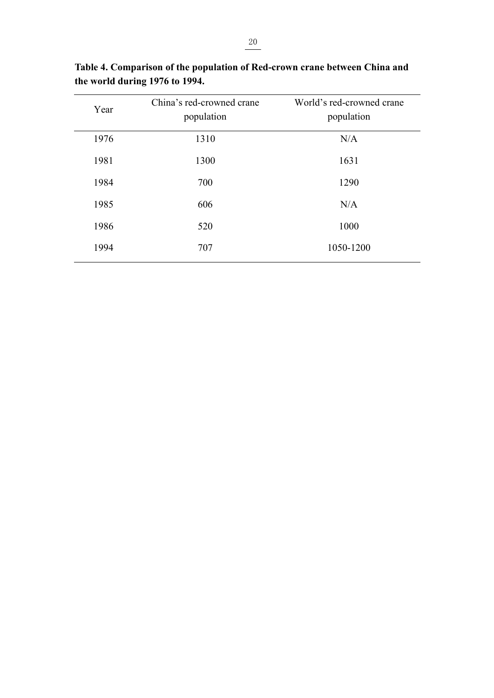<span id="page-31-0"></span>

|                                                                                                              | 20                                      |                                         |
|--------------------------------------------------------------------------------------------------------------|-----------------------------------------|-----------------------------------------|
|                                                                                                              |                                         |                                         |
| Table 4. Comparison of the population of Red-crown crane between China and<br>the world during 1976 to 1994. |                                         |                                         |
| Year                                                                                                         | China's red-crowned crane<br>population | World's red-crowned crane<br>population |
| 1976                                                                                                         | 1310                                    | $\rm N/A$                               |
|                                                                                                              |                                         |                                         |
| 1981                                                                                                         | 1300                                    | 1631                                    |
| 1984                                                                                                         | 700                                     | 1290                                    |
| 1985                                                                                                         | 606                                     | N/A                                     |
| 1986                                                                                                         | 520                                     | 1000                                    |

**Table 4. Comparison of the population of Red-crown crane between China and<br>the world during 1976 to 1994.**<br>Year China's red-crowned crane World's red-crowned crane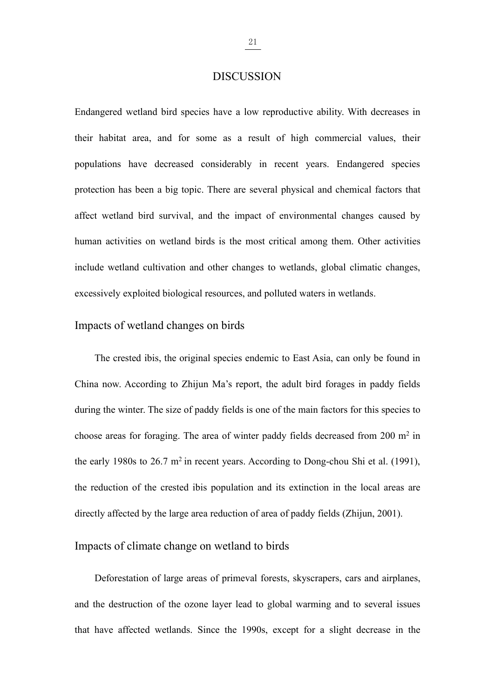# <span id="page-32-0"></span>DISCUSSION

 $\frac{21}{21}$ <br>
DISCUSSION<br>
Endangered wetland bird species have a low reproductive ability. With decreases in<br>
their habitat area, and for some as a result of high commercial values, their  $\frac{21}{21}$ <br>
DISCUSSION<br>
Endangered wetland bird species have a low reproductive ability. With decreases in<br>
their habitat area, and for some as a result of high commercial values, their<br>
populations have decreased consid **polynomial Endangered wetland bird species have a low reproductive ability. With decreases in their habitat area, and for some as a result of high commercial values, their populations have decreased considerably in recen protection has been a big topic.** There are several physical and chemical values, their populations have decreased considerably in recent years. Endangered species protection has been a big topic. There are several physi DISCUSSION<br>Endangered wetland bird species have a low reproductive ability. With decreases in<br>their habitat area, and for some as a result of high commercial values, their<br>populations have decreased considerably in recent Endangered wetland bird species have a low reproductive ability. With decreases in their habitat area, and for some as a result of high commercial values, their populations have decreased considerably in recent years. Enda their habitat area, and for some as a result of high commercial values, their<br>populations have decreased considerably in recent years. Endangered species<br>protection has been a big topic. There are several physical and chem populations have decreased considerably in recent years. Endangered species<br>protection has been a big topic. There are several physical and chemical factors that<br>affect wetland bird survival, and the impact of environmenta populations have decreased considerably in recent years. Endangered spectrotion has been a big topic. There are several physical and chemical factors affect wetland bird survival, and the impact of environmental changes ca t wetland bird survival, and the impact of environmental changes caused by<br>an activities on wetland birds is the most critical among them. Other activities<br>de wetland cultivation and other changes to wetlands, global clima

<span id="page-32-1"></span>human activities on wetland birds is the most critical among them. Other activities<br>include wetland cultivation and other changes to wetlands, global climatic changes,<br>excessively exploited biological resources, and pollut include wetland cultivation and other changes to wetlands, global climatic changes,<br>excessively exploited biological resources, and polluted waters in wetlands.<br>Impacts of wetland changes on birds<br>The crested ibis, the or excessively exploited biological resources, and polluted waters in wetlands.<br>
Impacts of wetland changes on birds<br>
The crested ibis, the original species endemic to East Asia, can only be found in<br>
China now. According to in Impacts of wetland changes on birds<br>The crested ibis, the original species endemic to East Asi<br>China now. According to Zhijun Ma's report, the adult bird<br>during the winter. The size of paddy fields is one of the main fa<br>c in recent years. According to Dong-chou Shi et al. (1991),<br>Thijun Ma's report, the adult bird forages in paddy fields<br>of paddy fields is one of the main factors for this species to<br>The area of winter paddy fields decreased The crested ibis, the original species endemic to East Asia, can only be found in<br>China now. According to Zhijun Ma's report, the adult bird forages in paddy fields<br>during the winter. The size of paddy fields is one of th China now. According to Zhijun Ma's report, the adult bird forages in paddy fields<br>during the winter. The size of paddy fields is one of the main factors for this species to<br>choose areas for foraging. The area of winter p China now. According to Zhijun Ma's report, the adult bird forages in paddy fields<br>during the winter. The size of paddy fields is one of the main factors for this species to<br>choose areas for foraging. The area of winter p se areas for foraging. The area of winter paddy fields decreased from 200 m<sup>2</sup> in<br>arly 1980s to 26.7 m<sup>2</sup> in recent years. According to Dong-chou Shi et al. (1991),<br>eduction of the crested ibis population and its extinctio the carly 1980s to 26.7 m<sup>2</sup> in recent years. According to Dong-chou Shi et al. (1991),<br>the reduction of the crested ibis population and its extinction in the local areas are<br>directly affected by the large area reduction

<span id="page-32-2"></span>the reduction of the crested ibis population and its extinction in the local areas are<br>directly affected by the large area reduction of area of paddy fields (Zhijun, 2001).<br>Impacts of climate change on wetland to birds<br>Def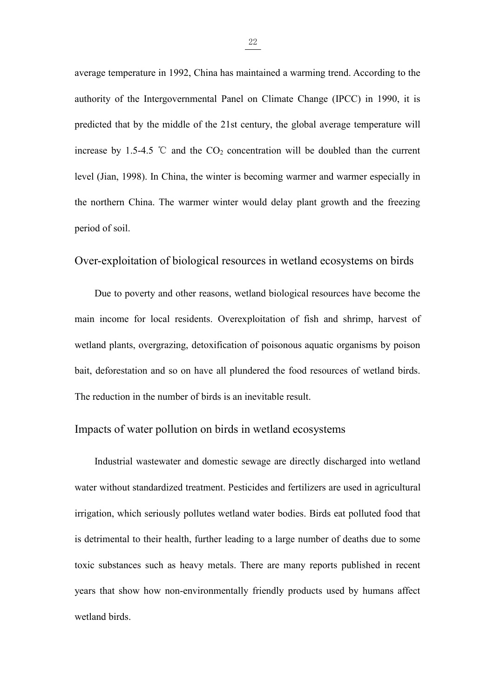$\frac{22}{2}$ <br>average temperature in 1992, China has maintained a warming trend. According to the<br>authority of the Intergovernmental Panel on Climate Change (IPCC) in 1990, it is average temperature in 1992, China has maintained a warming trend. According to the authority of the Intergovernmental Panel on Climate Change (IPCC) in 1990, it is predicted that by the middle of the 21st century, the gl  $\frac{22}{2}$ <br>average temperature in 1992, China has maintained a warming trend. According to the authority of the Intergovernmental Panel on Climate Change (IPCC) in 1990, it is predicted that by the middle of the 21st cent  $\frac{22}{2}$ <br>average temperature in 1992, China has maintained a warming trend. According to the<br>authority of the Intergovernmental Panel on Climate Change (IPCC) in 1990, it is<br>predicted that by the middle of the 21st cent  $\frac{22}{22}$ <br>average temperature in 1992, China has maintained a warming trend. According to the<br>authority of the Intergovernmental Panel on Climate Change (IPCC) in 1990, it is<br>predicted that by the middle of the 21st cen average temperature in 1992, China has maintained a warming trend. According to the authority of the Intergovernmental Panel on Climate Change (IPCC) in 1990, it is predicted that by the middle of the 21st century, the gl authority of the Intergovernmental Panel on C<br>predicted that by the middle of the 21st century<br>increase by 1.5-4.5  $\degree$ C and the CO<sub>2</sub> concentrat<br>level (Jian, 1998). In China, the winter is becom<br>the northern China. The w authority of the Intergovernmental Panel on Climate Change (IPCC) in 1990, it is<br>predicted that by the middle of the 21st century, the global average temperature will<br>increase by 1.5-4.5 °C and the CO<sub>2</sub> concentration will ase by 1.5-4.5 °C and the CO<sub>2</sub> concentration will be doubled than the current (Jian, 1998). In China, the winter is becoming warmer and warmer especially in orthern China. The warmer winter would delay plant growth and th

<span id="page-33-0"></span>level (Jian, 1998). In China, the winter is becoming warmer and warmer especially in<br>the northern China. The warmer winter would delay plant growth and the freezing<br>period of soil.<br>Over-exploitation of biological resources the northern China. The warmer winter would delay plant growth and the freezing<br>period of soil.<br>Over-exploitation of biological resources in wetland ecosystems on birds<br>Due to poverty and other reasons, wetland biological bather position of biological resources in wetland ecosystems on birds<br>Due to poverty and other reasons, wetland biological resources have become the<br>main income for local residents. Overexploitation of fish and shrimp, ha Over-exploitation of biological resources in wetland ecosystems on birds<br>Due to poverty and other reasons, wetland biological resources have become the<br>main income for local residents. Overexploitation of fish and shrimp, Over-exploitation of biological resources in wetland ecosystems on birds<br>Due to poverty and other reasons, wetland biological resources have become the<br>main income for local residents. Overexploitation of fish and shrimp, income for local residents. Overexploitation of fish and shrimp, harvest of<br>ind plants, overgrazing, detoxification of poisonous aquatic organisms by poison<br>deforestation and so on have all plundered the food resources of

<span id="page-33-1"></span>wetland plants, overgrazing, detoxification of poisonous aquatic organisms by poison<br>bait, deforestation and so on have all plundered the food resources of wetland birds.<br>The reduction in the number of birds is an inevitab bait, deforestation and so on have all plundered the food resources of wetland birds.<br>The reduction in the number of birds is an inevitable result.<br>Impacts of water pollution on birds in wetland ecosystems<br>Industrial waste The reduction in the number of birds is an inevitable result.<br>
Impacts of water pollution on birds in wetland ecosystems<br>
Industrial wastewater and domestic sewage are directly discharged into wetland<br>
water without standa Impacts of water pollution on birds in wetland ecosystems<br>Industrial wastewater and domestic sewage are directly discharged into wetland<br>water without standardized treatment. Pesticides and fertilizers are used in agricult Industrial wastewater and domestic sewage are directly discharged into wetland<br>water without standardized treatment. Pesticides and fertilizers are used in agricultural<br>irrigation, which seriously pollutes wetland water bo water without standardized treatment. Pesticide<br>irrigation, which seriously pollutes wetland wa<br>is detrimental to their health, further leading to<br>toxic substances such as heavy metals. There<br>years that show how non-enviro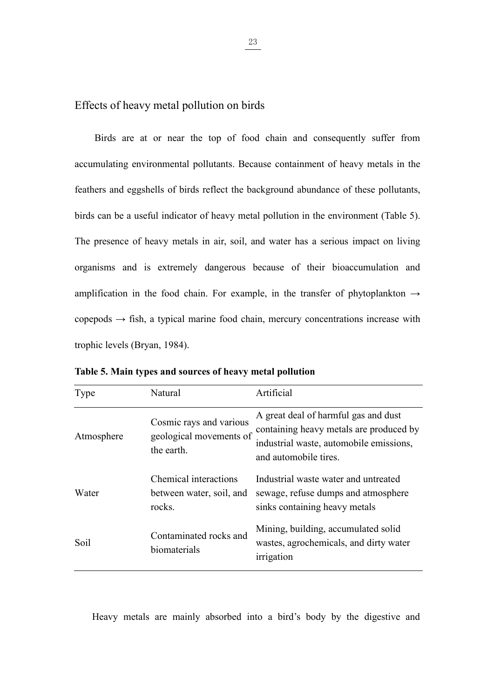<span id="page-34-0"></span>

 $\frac{23}{23}$ <br>Effects of heavy metal pollution on birds<br>Birds are at or near the top of food chain and consequently suffer from  $\frac{23}{25}$ <br>Birds are at or near the top of food chain and consequently suffer from<br>mulating environmental pollutants. Because containment of heavy metals in the Effects of heavy metal pollution on birds<br>Birds are at or near the top of food chain and consequently suffer from<br>accumulating environmental pollutants. Because containment of heavy metals in the<br>feathers and eggshells of Effects of heavy metal pollution on birds<br>Birds are at or near the top of food chain and consequently suffer from<br>accumulating environmental pollutants. Because containment of heavy metals in the<br>feathers and eggshells of Birds are at or near the top of food chain and consequently suffer from<br>accumulating environmental pollutants. Because containment of heavy metals in the<br>feathers and eggshells of birds reflect the background abundance of Effects of heavy metal pollution on birds<br>Birds are at or near the top of food chain and consequently suffer from<br>accumulating environmental pollutants. Because containment of heavy metals in the<br>feathers and eggshells of Birds are at or near the top of food chain and consequently suffer from<br>accumulating environmental pollutants. Because containment of heavy metals in the<br>feathers and eggshells of birds reflect the background abundance of accumulating environmental pollutants. Because containment of heavy metals in the feathers and eggshells of birds reflect the background abundance of these pollutants, birds can be a useful indicator of heavy metal pollut feathers and eggshells of birds reflect the background abundance of these pollutants,<br>birds can be a useful indicator of heavy metal pollution in the environment (Table 5).<br>The presence of heavy metals in air, soil, and w birds can be a useful indicator of heavy metal pollution in the<br>The presence of heavy metals in air, soil, and water has a<br>organisms and is extremely dangerous because of the<br>amplification in the food chain. For example, The presence of heavy metals in air, soil, and water has a serious impact on living<br>organisms and is extremely dangerous because of their bioaccumulation and<br>amplification in the food chain. For example, in the transfer o be, in the transfer of phytoplankton  $\rightarrow$ <br>in, mercury concentrations increase with<br>**and pollution**<br>Artificial<br>A great deal of harmful gas and dust<br>containing heavy metals are produced by<br>industrial waste, automobile emiss

| trophic levels (Bryan, 1984).                            |                                                                  |                                                                                                                                                     |
|----------------------------------------------------------|------------------------------------------------------------------|-----------------------------------------------------------------------------------------------------------------------------------------------------|
| Table 5. Main types and sources of heavy metal pollution |                                                                  |                                                                                                                                                     |
| Type                                                     | Natural                                                          | Artificial                                                                                                                                          |
| Atmosphere                                               | Cosmic rays and various<br>geological movements of<br>the earth. | A great deal of harmful gas and dust<br>containing heavy metals are produced by<br>industrial waste, automobile emissions,<br>and automobile tires. |
| Water                                                    | Chemical interactions<br>between water, soil, and<br>rocks.      | Industrial waste water and untreated<br>sewage, refuse dumps and atmosphere<br>sinks containing heavy metals                                        |
| Soil                                                     | Contaminated rocks and<br>biomaterials                           | Mining, building, accumulated solid<br>wastes, agrochemicals, and dirty water<br>irrigation                                                         |

<span id="page-34-1"></span>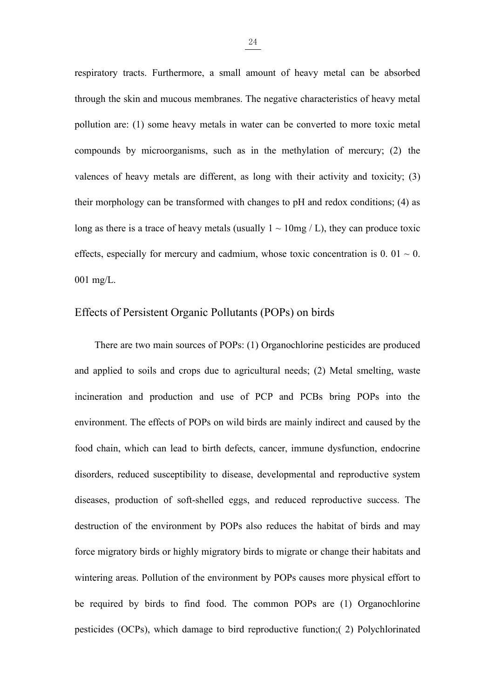$\frac{24}{2}$ <br>respiratory tracts. Furthermore, a small amount of heavy metal can be absorbed<br>through the skin and mucous membranes. The negative characteristics of heavy metal the spiratory tracts. Furthermore, a small amount of heavy metal can be absorbed through the skin and mucous membranes. The negative characteristics of heavy metal pollution are: (1) some heavy metals in water can be conv respiratory tracts. Furthermore, a small amount of heavy metal can be absorbed<br>through the skin and mucous membranes. The negative characteristics of heavy metal<br>pollution are: (1) some heavy metals in water can be conver expiratory tracts. Furthermore, a small amount of heavy metal can be absorbed<br>through the skin and mucous membranes. The negative characteristics of heavy metal<br>pollution are: (1) some heavy metals in water can be convert respiratory tracts. Furthermore, a small amount of heavy metal can be absorbed<br>through the skin and mucous membranes. The negative characteristics of heavy metal<br>pollution are: (1) some heavy metals in water can be conver the spiratory tracts. Furthermore, a small amount of heavy metal can be absorbed<br>through the skin and mucous membranes. The negative characteristics of heavy metal<br>pollution are: (1) some heavy metals in water can be conv through the skin and mucous membranes. The negative characteristics of heavy metal<br>pollution are: (1) some heavy metals in water can be converted to more toxic metal<br>compounds by microorganisms, such as in the methylation pollution are: (1) some heavy metals in water can be converted to more toxic metal<br>compounds by microorganisms, such as in the methylation of mercury; (2) the<br>valences of heavy metals are different, as long with their act compounds by microorganisms, such as<br>valences of heavy metals are different, as<br>their morphology can be transformed with<br>long as there is a trace of heavy metals (us<br>effects, especially for mercury and cadmiu<br>001 mg/L.<br>Eff compounds by microorganisms, such as in the methylation of mercury; (2) the valences of heavy metals are different, as long with their activity and toxicity; (3) their morphology can be transformed with changes to pH and morphology can be transformed with changes to pH and redox conditions; (4) as<br>as there is a trace of heavy metals (usually  $1 \sim 10$ mg / L), they can produce toxic<br>ts, especially for mercury and cadmium, whose toxic concen

<span id="page-35-0"></span>long as there is a trace of heavy metals (usually  $1 \sim 10$  mg / L), they can produce toxic<br>effects, especially for mercury and cadmium, whose toxic concentration is  $0.01 \sim 0$ .<br>001 mg/L.<br>Effects of Persistent Organic Poll effects, especially for mercury and cadmium, whose toxic concentration is  $0.01 \approx 0.01$  mg/L.<br>
Effects of Persistent Organic Pollutants (POPs) on birds<br>
There are two main sources of POPs: (1) Organochlorine pesticides ar environment. The environment of populations of POPs: (1) Organochlorine pesticides are produced and applied to soils and crops due to agricultural needs; (2) Metal smelting, waste incineration and production and use of PCP Effects of Persistent Organic Pollutants (POPs) on birds<br>There are two main sources of POPs: (1) Organochlorine pesticides are produced<br>and applied to soils and crops due to agricultural needs; (2) Metal smelting, waste<br>in There are two main sources of POPs: (1) Organochlorine pesticides are produced<br>and applied to soils and crops due to agricultural needs; (2) Metal smelting, waste<br>incineration and production and use of PCP and PCBs bring P and applied to soils and crops due to agricultural needs; (2) Metal smelting, waste<br>incineration and production and use of PCP and PCBs bring POPs into the<br>environment. The effects of POPs on wild birds are mainly indirect incineration and production and use of PCP and PCBs bring POPs into the environment. The effects of POPs on wild birds are mainly indirect and caused by the food chain, which can lead to birth defects, cancer, immune dysfu environment. The effects of POPs on wild birds are mainly indirect and caused by the<br>food chain, which can lead to birth defects, cancer, immune dysfunction, endocrine<br>disorders, reduced susceptibility to disease, developm food chain, which can lead to birth defects, cancer, immune dysfunction, endocrine<br>disorders, reduced susceptibility to disease, developmental and reproductive system<br>diseases, production of soft-shelled eggs, and reduced disorders, reduced susceptibility to disease, developmental and reproductive system<br>diseases, production of soft-shelled eggs, and reduced reproductive success. The<br>destruction of the environment by POPs also reduces the h diseases, production of soft-shelled eggs, and reduced reproductive success. The destruction of the environment by POPs also reduces the habitat of birds and may force migratory birds or highly migratory birds to migrate o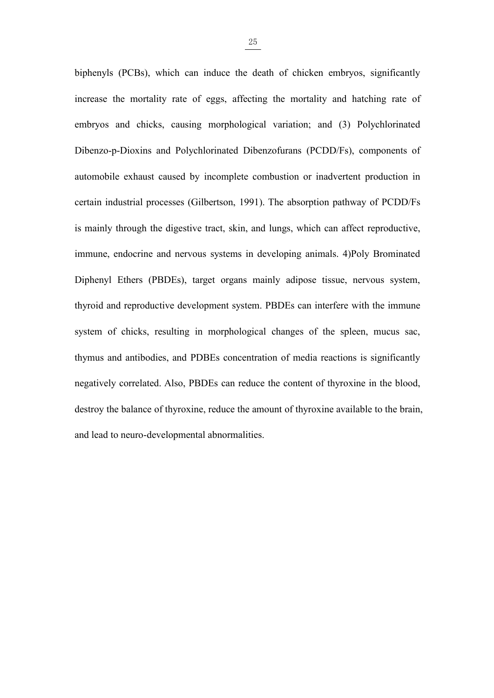$\frac{25}{25}$ <br>biphenyls (PCBs), which can induce the death of chicken embryos, significantly<br>increase the mortality rate of eggs, affecting the mortality and hatching rate of biphenyls (PCBs), which can induce the death of chicken embryos, significantly<br>increase the mortality rate of eggs, affecting the mortality and hatching rate of<br>embryos and chicks, causing morphological variation; and (3)  $\frac{25}{25}$ <br>biphenyls (PCBs), which can induce the death of chicken embryos, significantly<br>increase the mortality rate of eggs, affecting the mortality and hatching rate of<br>embryos and chicks, causing morphological variat  $\frac{25}{25}$ <br>biphenyls (PCBs), which can induce the death of chicken embryos, significantly<br>increase the mortality rate of eggs, affecting the mortality and hatching rate of<br>embryos and chicks, causing morphological variat  $\frac{25}{25}$ <br>biphenyls (PCBs), which can induce the death of chicken embryos, significantly<br>increase the mortality rate of eggs, affecting the mortality and hatching rate of<br>embryos and chicks, causing morphological variat biphenyls (PCBs), which can induce the death of chicken embryos, significantly<br>increase the mortality rate of eggs, affecting the mortality and hatching rate of<br>embryos and chicks, causing morphological variation; and (3) increase the mortality rate of eggs, affecting the mortality and hatching rate of<br>embryos and chicks, causing morphological variation; and (3) Polychlorinated<br>Dibenzo-p-Dioxins and Polychlorinated Dibenzofurans (PCDD/Fs), embryos and chicks, causing morphological variation; and (3) Polychlorinated<br>Dibenzo-p-Dioxins and Polychlorinated Dibenzofurans (PCDD/Fs), components of<br>automobile exhaust caused by incomplete combustion or inadvertent pr Dibenzo-p-Dioxins and Polychlorinated Dibenzofurans (PCDD/Fs), components of automobile exhaust caused by incomplete combustion or inadvertent production in certain industrial processes (Gilbertson, 1991). The absorption p automobile exhaust caused by incomplete combustion or inadvertent production in<br>certain industrial processes (Gilbertson, 1991). The absorption pathway of PCDD/Fs<br>is mainly through the digestive tract, skin, and lungs, whi certain industrial processes (Gilbertson, 1991). The absorption pathway of PCDD/Fs<br>is mainly through the digestive tract, skin, and lungs, which can affect reproductive,<br>immune, endocrine and nervous systems in developing is mainly through the digestive tract, skin, and lungs, which can affect reproductive,<br>immune, endocrine and nervous systems in developing animals. 4)Poly Brominated<br>Diphenyl Ethers (PBDEs), target organs mainly adipose ti immune, endocrine and nervous systems in developing animals. 4)Poly Brominated<br>Diphenyl Ethers (PBDEs), target organs mainly adipose tissue, nervous system,<br>thyroid and reproductive development system. PBDEs can interfere Diphenyl Ethers (PBDEs), target organs mainly adipose tissue, nervous system, thyroid and reproductive development system. PBDEs can interfere with the immune system of chicks, resulting in morphological changes of the spl thyroid and reproductive development system. PBDEs can interfere wi<br>system of chicks, resulting in morphological changes of the spleet<br>thymus and antibodies, and PDBEs concentration of media reactions i<br>negatively correlat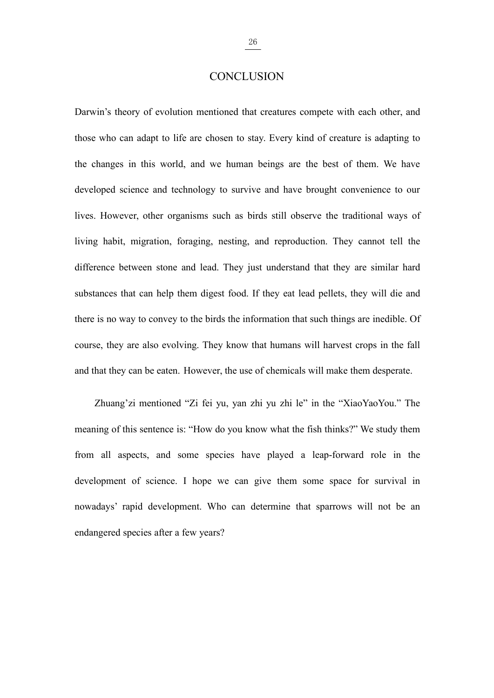# <span id="page-37-0"></span>**CONCLUSION**

 $\frac{26}{26}$ <br>
CONCLUSION<br>
Darwin's theory of evolution mentioned that creatures compete with each other, and<br>
those who can adapt to life are chosen to stay. Every kind of creature is adapting to  $\frac{26}{26}$ <br>CONCLUSION<br>Darwin's theory of evolution mentioned that creatures compete with each other, and<br>those who can adapt to life are chosen to stay. Every kind of creature is adapting to<br>the changes in this world, an  $\frac{26}{26}$ <br>CONCLUSION<br>Darwin's theory of evolution mentioned that creatures compete with each other, and<br>those who can adapt to life are chosen to stay. Every kind of creature is adapting to<br>the changes in this world, an **EXECUTE CONCLUSION**<br>Darwin's theory of evolution mentioned that creatures compete with each other, and<br>those who can adapt to life are chosen to stay. Every kind of creature is adapting to<br>the changes in this world, and CONCLUSION<br>Darwin's theory of evolution mentioned that creatures compete with each other, and<br>those who can adapt to life are chosen to stay. Every kind of creature is adapting to<br>the changes in this world, and we human be Darwin's theory of evolution mentioned that creatures compete with each other, and<br>those who can adapt to life are chosen to stay. Every kind of creature is adapting to<br>the changes in this world, and we human beings are th those who can adapt to life are chosen to stay. Every kind of creature is adapting to the changes in this world, and we human beings are the best of them. We have developed science and technology to survive and have brough the changes in this world, and we human beings are the best of them. We have developed science and technology to survive and have brought convenience to our lives. However, other organisms such as birds still observe the t developed science and technology to survive and have brought convenience to our<br>lives. However, other organisms such as birds still observe the traditional ways of<br>living habit, migration, foraging, nesting, and reproducti lives. However, other organisms such as birds still observe the traditional ways of living habit, migration, foraging, nesting, and reproduction. They cannot tell the difference between stone and lead. They just understand Iiving habit, migration, foraging, nesting, and reproduction. They cannot tell the difference between stone and lead. They just understand that they are similar hard substances that can help them digest food. If they cat l rence between stone and lead. They just understand that they are similar hard<br>ances that can help them digest food. If they eat lead pellets, they will die and<br>is no way to convey to the birds the information that such thi substances that can help them digest food. If they eat lead pellets, they will die and<br>there is no way to convey to the birds the information that such things are inedible. Of<br>course, they are also evolving. They know that

from all aspects, and some species have played a leap-forward role in the solution of scourse, they are also evolving. They know that humans will have them desperate.<br>
and that they can be eaten. However, the use of chemic course, they are also evolving. They know that humans will harvest crops in the fall<br>and that they can be eaten. However, the use of chemicals will make them desperate.<br>Zhuang'zi mentioned "Zi fei yu, yan zhi yu zhi le" in and that they can be eaten. However, the use of chemicals will make them desperate.<br>
Zhuang'zi mentioned "Zi fei yu, yan zhi yu zhi le" in the "XiaoYaoYou." The<br>
meaning of this sentence is: "How do you know what the fish Zhuang'zi mentioned "Zi fei yu, yan zhi yu zhi le" in the "Xi<br>meaning of this sentence is: "How do you know what the fish thinks?<br>from all aspects, and some species have played a leap-forward<br>development of science. I hope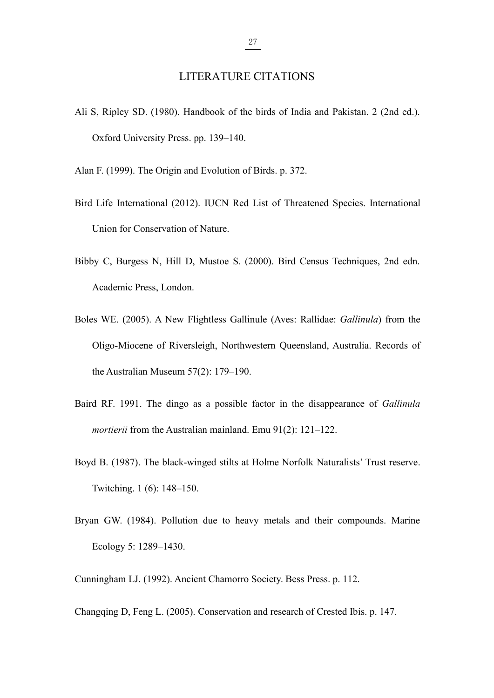$\frac{27}{27}$ <br>LITERATURE CITATIONS<br>Handbook of the birds of India and Pakistan. 2 (2nd ed.). LITERATURE CITATIONS<br>Ali S, Ripley SD. (1980). Handbook of the birds of India and Pakistan. 2 (2nd ed.).<br>Oxford University Press. pp. 139–140. 27<br>
LITERATURE CITATIONS<br>
S, Ripley SD. (1980). Handbook of the birds of India and Pakistan<br>
Oxford University Press. pp. 139–140.<br>
1 F. (1999). The Origin and Evolution of Birds. p. 372. **EXECUTECONTROLLAR FRAMIVING**<br>Ali S, Ripley SD. (1980). Handbook of the birds of India and Pakistan. 2 (2nd ed.).<br>Oxford University Press. pp. 139–140.<br>Alan F. (1999). The Origin and Evolution of Birds. p. 372.<br>Bird Life LITERATURE CITATIONS<br>Ali S, Ripley SD. (1980). Handbook of the birds of India and Pakistan. 2 (2nd ed.).<br>Oxford University Press. pp. 139–140.<br>Alan F. (1999). The Origin and Evolution of Birds. p. 372.<br>Bird Life Internatio EXECUTE OF LETTING THE STRING TO SATURE STRING THE STRING OX<br>
S. Ripley SD. (1980). Handbook of the birds of India and Pakis<br>
Oxford University Press. pp. 139–140.<br>
1 F. (1999). The Origin and Evolution of Birds. p. 372.<br>

- 
- <span id="page-38-0"></span>All an F, (1999). The Origin and Evolution of Birds. p. 372.<br>
Bird Life International (2012). IUCN Red List of Threatened Species. International<br>
Union for Conservation of Nature.<br>
Bibby C, Burgess N, Hill D, Mustoe S. (20 DECATOR UNRESHY PIESS. PP. 139–140.<br>
1 F. (1999). The Origin and Evolution of Birds. p. 372.<br>
1 Life International (2012). IUCN Red List of Threate<br>
Union for Conservation of Nature.<br>
2000). Bird Cen<br>
Academic Press, Londo
- Atali F. (1999). The Origin and Evolution of Bitts of Threatened Species. International<br>Bird Life International (2012). IUCN Red List of Threatened Species. International<br>Union for Conservation of Nature.<br>Bibby C, Burgess Life International (2012). IUCN Red List of Threatened Species. International<br>Union for Conservation of Nature.<br>y C, Burgess N, Hill D, Mustoe S. (2000). Bird Census Techniques, 2nd edn.<br>Academic Press, London.<br>s WE. (2005 Union for Conservation of Nature.<br>
by C, Burgess N, Hill D, Mustoe S. (2000). Bird Census Techniqu<br>
Academic Press, London.<br>
S. W.E. (2005). A New Flightless Gallinule (Aves: Rallidae: *Gallinn*<br>
Oligo-Miocene of Riverslei Bibby C, Burgess N, Hill D, Mustoe S. (2000). Bird Census Techniques, 2nd edn.<br>
Academic Press, London.<br>
Boles WE. (2005). A New Flightless Gallinule (Aves: Rallidae: *Gallinula*) from the<br>
Oligo-Miocene of Riversleigh, No Academic Press, London.<br> *ms* WE. (2005). A New Flightless Gallinule (Aves: Rallidae: *Gallinula*) from the Oligo-Miocene of Riversleigh, Northwestern Queensland, Australia. Records of the Australian Museum 57(2): 179–190. Boles WE. (2005). A New Flightless Gallinule (Aves: Rallidae: *Gallinula*) from the<br>Oligo-Miocene of Riversleigh, Northwestern Queensland, Australia. Records of<br>the Australian Museum 57(2): 179–190.<br>Baird RF. 1991. The din Oligo-Miocene of Riversleigh, Northwestern Queensla<br>the Australian Museum 57(2): 179–190.<br>d RF. 1991. The dingo as a possible factor in the di<br>mortierii from the Australian mainland. Emu 91(2): 121-<br>d B. (1987). The black-
- Baird RF. 1991. The dingo as a possible factor in the disappearance of *Gallinula*<br> *mortierii* from the Australian mainland. Emu 91(2): 121–122.<br>
Boyd B. (1987). The black-winged stilts at Holme Norfolk Naturalists' Trus d RF. 1991. The dingo as a possible factor in<br>mortierii from the Australian mainland. Emu 91(2)<br>d B. (1987). The black-winged stilts at Holme Nc<br>Twitching. 1 (6): 148–150.<br>nn GW. (1984). Pollution due to heavy metals<br>Ecolo
- mortern nom the Australian mannand. Emit 91(2). 121–122.<br>Boyd B. (1987). The black-winged stilts at Holme Norfolk Naturalists' Trust reserve.<br>Twitching. 1 (6): 148–150.<br>Bryan GW. (1984). Pollution due to heavy metals and t
- Expansion D, Feng L. (1984). Pollution due to heavy metals and their compounds. Marine Ecology 5: 1289–1430.<br>
Cunningham LJ. (1992). Ancient Chamorro Society. Bess Press. p. 112.<br>
Changqing D, Feng L. (2005). Conservation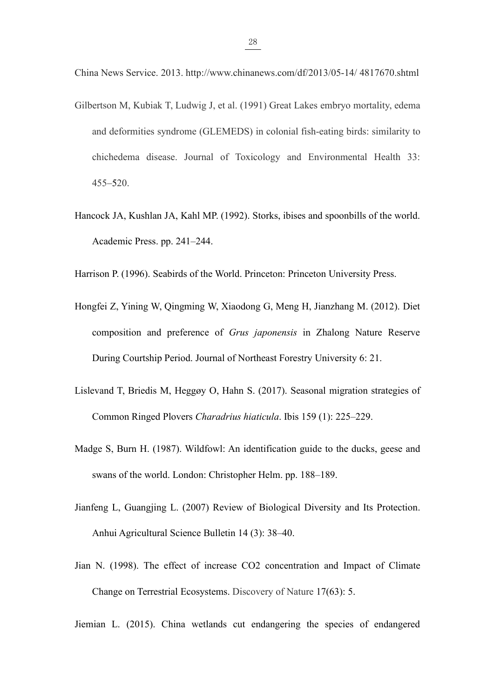- China News Service. 2013. http://www.chinanews.com/df/2013/05-14/ 4817670.shtml  $\frac{28}{28}$ <br>China News Service. 2013. http://www.chinanews.com/df/2013/05-14/4817670.shtml<br>Gilbertson M, Kubiak T, Ludwig J, et al. (1991) Great Lakes embryo mortality, edema<br>and deformities syndrome (GLEMEDS) in colonial  $\frac{28}{200}$ <br>and News Service. 2013. http://www.chinanews.com/df/2013/05-14/4817670.shtml<br>ertson M, Kubiak T, Ludwig J, et al. (1991) Great Lakes embryo mortality, edema<br>and deformities syndrome (GLEMEDS) in colonial fish  $\frac{28}{28}$ <br>a News Service. 2013. http://www.chinanews.com/df/2013/05-14/4817670.shtml<br>ertson M, Kubiak T, Ludwig J, et al. (1991) Great Lakes embryo mortality, edema<br>and deformities syndrome (GLEMEDS) in colonial fish-ea 455–520. China News Service. 2013. http://www.chinanews.com/df/2013/05-14/4817670.shtml<br>Gilbertson M, Kubiak T, Ludwig J, et al. (1991) Great Lakes embryo mortality, edema<br>and deformities syndrome (GLEMEDS) in colonial fish-eating ertson M, Kubiak T, Ludwig J, et al. (1991) Great Lakes en<br>and deformities syndrome (GLEMEDS) in colonial fish-eat<br>chichedema disease. Journal of Toxicology and Envir<br>455–520.<br>cock JA, Kushlan JA, Kahl MP. (1992). Storks, and deformities syndrome (GLEMEDS) in colonial fish-cating birds: similarity to<br>chichedema disease. Journal of Toxicology and Environmental Health 33:<br>455–520.<br>Hancock JA, Kushlan JA, Kahl MP. (1992). Storks, ibises and sp
- 
- 
- Hancock JA, Kushlan JA, Kahl MP. (1992). Storks, ibises and spoonbills of the world.<br>
Academic Press. pp. 241–244.<br>
Harrison P. (1996). Seabirds of the World. Princeton: Princeton University Press.<br>
Hongfei Z, Yining W, Qi 453–520.<br>cock JA, Kushlan JA, Kahl MP. (1992). Storks, ibises and spoonbills of the world.<br>Academic Press. pp. 241–244.<br>ison P. (1996). Seabirds of the World. Princeton: Princeton University Press.<br>gfei Z, Yining W, Qingmi cock JA, Kushlan JA, Kahl MP. (1992). Storks, ibises and spoonbills of the world.<br>Academic Press. pp. 241–244.<br>
ison P. (1996). Seabirds of the World. Princeton: Princeton University Press.<br>
gfei Z, Yining W, Qingming W, X Academic Fiess. pp. 241–244.<br>
Harrison P. (1996). Seabirds of the World. Princeton: Princeton University Press.<br>
Hongfei Z, Yining W, Qingming W, Xiaodong G, Meng H, Jianzhang M. (2012). Diet<br>
composition and preference of ison P. (1996). Seabirds of the World. Princeton: Princeton University Press.<br>gfei Z, Yining W, Qingming W, Xiaodong G, Meng H, Jianzhang M. (2012). Diet<br>composition and preference of *Grus japonensis* in Zhalong Nature Re Hongfei Z, Yining W, Qingming W, Xiaodong G, Meng H, Jianzhang M. (2012). Diet<br>
composition and preference of *Grus japonensis* in Zhalong Nature Reserve<br>
During Courtship Period. Journal of Northeast Forestry University 6 composition and preference of *Grus japonensis* in Zhalong Nature Reserve<br>During Courtship Period. Journal of Northeast Forestry University 6: 21.<br>evand T, Briedis M, Heggøy O, Hahn S. (2017). Seasonal migration strategies
- 
- Dunng Counsinp Period. Journal of Northeast Polestry Oniversity 0. 21.<br>
Lislevand T, Briedis M, Heggoy O, Hahn S. (2017). Seasonal migration strategies of<br>
Common Ringed Plovers Charadrius hiaticula. Ibis 159 (1): 225–229. evand T, Briedis M, Heggøy O, Hahn S. (2017). Seasonal migration strategies of<br>Common Ringed Plovers Charadrius hiaticula. Ibis 159 (1): 225–229.<br>Ige S, Burn H. (1987). Wildfowl: An identification guide to the ducks, geese
- 
- Jian N. (1987). Wildfowl: An identification guide to the ducks, geese and<br>swans of the world. London: Christopher Helm. pp. 188–189.<br>Jianfeng L, Guangjing L. (2007) Review of Biological Diversity and Its Protection.<br>Anhui ge S, Burn H. (1987). Wildfowl: An identification guide to the ducks, geese and<br>swans of the world. London: Christopher Helm. pp. 188–189.<br>
feng L, Guangjing L. (2007) Review of Biological Diversity and Its Protection.<br>
An Jianfeng L, Guangjing L. (2007) Review of Biological Diversity and Its Protection.<br>
Anhui Agricultural Science Bulletin 14 (3): 38–40.<br>
Jian N. (1998). The effect of increase CO2 concentration and Impact of Climate<br>
Change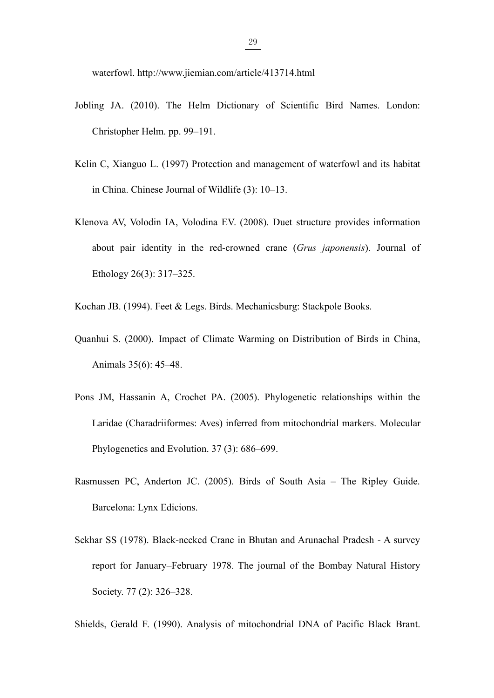- $\frac{29}{2}$ <br>waterfowl. http://www.jiemian.com/article/413714.html<br>ing JA. (2010). The Helm Dictionary of Scientific Bird Nam waterfowl.http://www.jiemian.com/article/413714.html<br>Jobling JA. (2010). The Helm Dictionary of Scientific Bird Names. London:<br>Christopher Helm. pp. 99–191. <sup>29</sup><br>waterfowl. http://www.jiemian.com/article/413714.html<br>ing JA. (2010). The Helm Dictionary of Scientific Bir<br>Christopher Helm. pp. 99–191.<br>n C, Xianguo L. (1997) Protection and management of wate waterfowl. http://www.jiemian.com/article/413714.html<br>Jobling JA. (2010). The Helm Dictionary of Scientific Bird Names. London:<br>Christopher Helm. pp. 99–191.<br>Kelin C, Xianguo L. (1997) Protection and management of waterfo waterfowl. http://www.jiemian.com/article/413714.html<br>ing JA. (2010). The Helm Dictionary of Scientific Bird Names. Londor<br>Christopher Helm. pp. 99–191.<br>n C, Xianguo L. (1997) Protection and management of waterfowl and it
- 
- Waterlowl. http://www.jlendia.com/article/413714.html<br>Jobling JA. (2010). The Helm Dictionary of Scientific Bird Names. London:<br>Christopher Helm. pp. 99–191.<br>Kelin C, Xianguo L. (1997) Protection and management of waterfow ing JA. (2010). The Helm Dictionary of Scientific Bird Names. London:<br>Christopher Helm. pp. 99–191.<br>n C, Xianguo L. (1997) Protection and management of waterfowl and its habitat<br>in China. Chinese Journal of Wildlife (3): 1 Christopher Helm. pp. 99–191.<br>
n C, Xianguo L. (1997) Protection and management o<br>
in China. Chinese Journal of Wildlife (3): 10–13.<br>
nova AV, Volodin IA, Volodina EV. (2008). Duet strue<br>
about pair identity in the red-cro Kelin C, Xianguo L. (1997) Protection and management of waterfowl and its habitat<br>in China. Chinese Journal of Wildlife (3): 10–13.<br>Klenova AV, Volodin IA, Volodina EV. (2008). Duet structure provides information<br>about pai In China. Chinese Journal of Whidme (3). 10–13.<br>
Klenova AV, Volodin IA, Volodina EV. (2008). Duet structure provides information<br>
about pair identity in the red-crowned crane (*Grus japonensis*). Journal of<br>
Ethology 26(3 nova AV, Volodin IA, Volodina EV. (2008). Duet stru<br>about pair identity in the red-crowned crane (*Gru*<br>Ethology 26(3): 317–325.<br>han JB. (1994). Feet & Legs. Birds. Mechanicsburg: St<br>nhui S. (2000). Impact of Climate Warmi

- 
- Ethology 26(3): 317–325.<br>
Kochan JB. (1994). Feet & Legs. Birds. Mechanicsburg: Stackpole Books.<br>
Quanhui S. (2000). Impact of Climate Warming on Distribution of Birds in China,<br>
Animals 35(6): 45–48.<br>
Pons JM, Hassanin A, Enlology 20(3). 317–323.<br>
han JB. (1994). Feet & Legs. Birds. Mechanicsburg: Stackpole Books.<br>
hhui S. (2000). Impact of Climate Warming on Distribution of Birds in China,<br>
Animals 35(6): 45–48.<br>
3 JM, Hassanin A, Crochet han JB. (1994). Feet & Legs. Birds. Mechanicsburg: Stackpole Books.<br>
hhui S. (2000). Impact of Climate Warming on Distribution of Birds in<br>
Animals 35(6): 45–48.<br>
3 JM, Hassanin A, Crochet PA. (2005). Phylogenetic relation Quanhui S. (2000). Impact of Climate Warming on Distribution of Birds in China,<br>Animals 35(6): 45–48.<br>Pons JM, Hassanin A, Crochet PA. (2005). Phylogenetic relationships within the<br>Laridae (Charadriiformes: Aves) inferred Animals 35(6): 45–48.<br>
J.M., Hassanin A., Crochet P.A. (2005). Phylogenetic<br>
Laridae (Charadriiformes: Aves) inferred from mitocho<br>
Phylogenetics and Evolution. 37 (3): 686–699.<br>
nussen P.C., Anderton J.C. (2005). Birds of Pons JM, Hassanin A, Crochet PA. (2005). Phylogenetic relationships within the<br>Laridae (Charadriiformes: Aves) inferred from mitochondrial markers. Molecular<br>Phylogenetics and Evolution. 37 (3): 686–699.<br>Rasmussen PC, Ande
- 
- Laridae (Charadriiformes: Aves) inferred from mitochondrial markers. Molecular<br>Phylogenetics and Evolution. 37 (3): 686–699.<br>nussen PC, Anderton JC. (2005). Birds of South Asia The Ripley Guide.<br>Barcelona: Lynx Edicions. Phylogenetics and Evolution. 37 (3): 686–699.<br>
mussen PC, Anderton JC. (2005). Birds of South A<br>
Barcelona: Lynx Edicions.<br>
nar SS (1978). Black-necked Crane in Bhutan and Art<br>
report for January–February 1978. The journal Rasmussen PC, Anderton JC. (2005). Birds of South Asia – The Ripley Guide.<br>
Barcelona: Lynx Edicions.<br>
Sekhar SS (1978). Black-necked Crane in Bhutan and Arunachal Pradesh - A survey<br>
report for January–February 1978. The